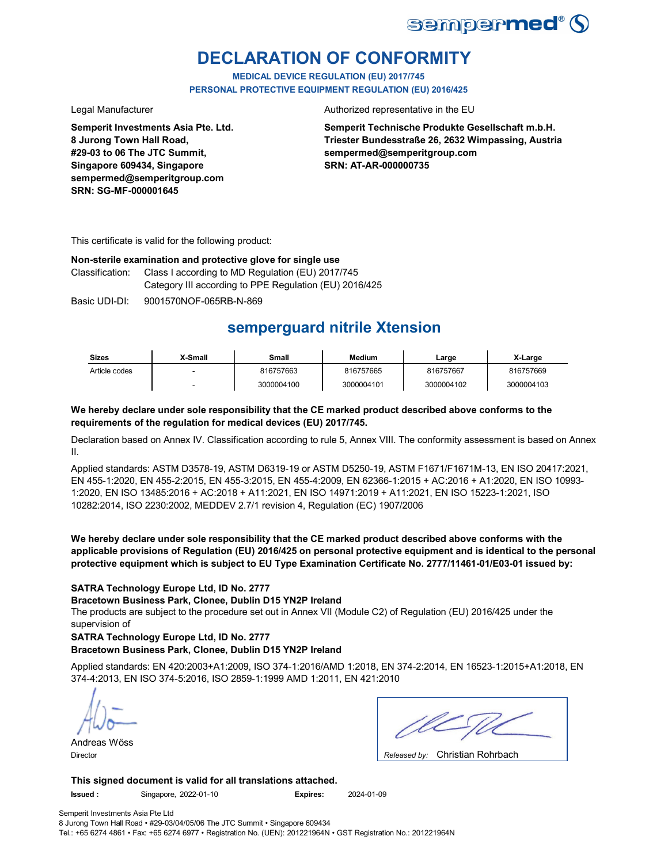

# **DECLARATION OF CONFORMITY**

**MEDICAL DEVICE REGULATION (EU) 2017/745 PERSONAL PROTECTIVE EQUIPMENT REGULATION (EU) 2016/425**

**Semperit Investments Asia Pte. Ltd. 8 Jurong Town Hall Road, #29-03 to 06 The JTC Summit, Singapore 609434, Singapore sempermed@semperitgroup.com SRN: SG-MF-000001645**

### Legal Manufacturer **Authorized representative in the EU**

**Semperit Technische Produkte Gesellschaft m.b.H. Triester Bundesstraße 26, 2632 Wimpassing, Austria sempermed@semperitgroup.com SRN: AT-AR-000000735**

This certificate is valid for the following product:

### **Non-sterile examination and protective glove for single use**

Class I according to MD Regulation (EU) 2017/745 Category III according to PPE Regulation (EU) 2016/425 Classification:

Basic UDI-DI: 9001570NOF-065RB-N-869

# **semperguard nitrile Xtension**

| <b>Sizes</b>  | X-Small | Small      | <b>Medium</b> | ∟arge      | X-Large    |
|---------------|---------|------------|---------------|------------|------------|
| Article codes |         | 816757663  | 816757665     | 816757667  | 816757669  |
|               |         | 3000004100 | 3000004101    | 3000004102 | 3000004103 |

### **We hereby declare under sole responsibility that the CE marked product described above conforms to the requirements of the regulation for medical devices (EU) 2017/745.**

Declaration based on Annex IV. Classification according to rule 5, Annex VIII. The conformity assessment is based on Annex II.

Applied standards: ASTM D3578-19, ASTM D6319-19 or ASTM D5250-19, ASTM F1671/F1671M-13, EN ISO 20417:2021, EN 455-1:2020, EN 455-2:2015, EN 455-3:2015, EN 455-4:2009, EN 62366-1:2015 + AC:2016 + A1:2020, EN ISO 10993- 1:2020, EN ISO 13485:2016 + AC:2018 + A11:2021, EN ISO 14971:2019 + A11:2021, EN ISO 15223-1:2021, ISO 10282:2014, ISO 2230:2002, MEDDEV 2.7/1 revision 4, Regulation (EC) 1907/2006

**We hereby declare under sole responsibility that the CE marked product described above conforms with the applicable provisions of Regulation (EU) 2016/425 on personal protective equipment and is identical to the personal protective equipment which is subject to EU Type Examination Certificate No. 2777/11461-01/E03-01 issued by:**

### **SATRA Technology Europe Ltd, ID No. 2777**

**Bracetown Business Park, Clonee, Dublin D15 YN2P Ireland**

The products are subject to the procedure set out in Annex VII (Module C2) of Regulation (EU) 2016/425 under the supervision of

### **SATRA Technology Europe Ltd, ID No. 2777**

### **Bracetown Business Park, Clonee, Dublin D15 YN2P Ireland**

Applied standards: EN 420:2003+A1:2009, ISO 374-1:2016/AMD 1:2018, EN 374-2:2014, EN 16523-1:2015+A1:2018, EN 374-4:2013, EN ISO 374-5:2016, ISO 2859-1:1999 AMD 1:2011, EN 421:2010

Andreas Wöss Director *Released by:* 

| $\bigcap$ basis of the $\bigcap$ of the latter state<br>. . |
|-------------------------------------------------------------|

Released by: Christian Rohrbach

### **This signed document is valid for all translations attached.**

**Issued :** Singapore, 2022-01-10 **Expires:** 2024-01-09

Semperit Investments Asia Pte Ltd 8 Jurong Town Hall Road • #29-03/04/05/06 The JTC Summit • Singapore 609434 Tel.: +65 6274 4861 • Fax: +65 6274 6977 • Registration No. (UEN): 201221964N • GST Registration No.: 201221964N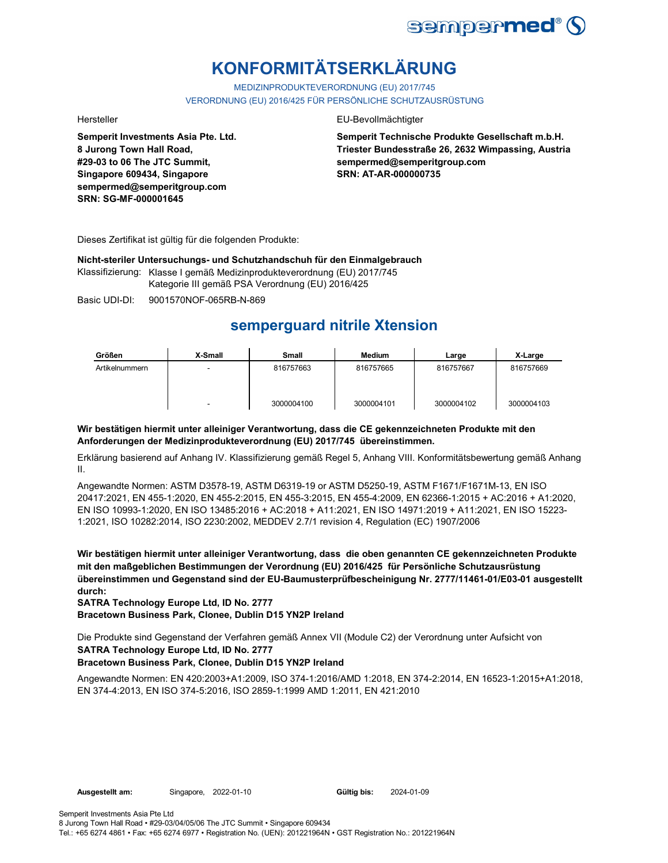

# **KONFORMITÄTSERKLÄRUNG**

MEDIZINPRODUKTEVERORDNUNG (EU) 2017/745 VERORDNUNG (EU) 2016/425 FÜR PERSÖNLICHE SCHUTZAUSRÜSTUNG

**Semperit Investments Asia Pte. Ltd. 8 Jurong Town Hall Road, #29-03 to 06 The JTC Summit, Singapore 609434, Singapore sempermed@semperitgroup.com SRN: SG-MF-000001645**

### Hersteller EU-Bevollmächtigter

**Semperit Technische Produkte Gesellschaft m.b.H. Triester Bundesstraße 26, 2632 Wimpassing, Austria sempermed@semperitgroup.com SRN: AT-AR-000000735**

Dieses Zertifikat ist gültig für die folgenden Produkte:

**Nicht-steriler Untersuchungs- und Schutzhandschuh für den Einmalgebrauch**

Klassifizierung: Klasse I gemäß Medizinprodukteverordnung (EU) 2017/745 Kategorie III gemäß PSA Verordnung (EU) 2016/425

Basic UDI-DI: 9001570NOF-065RB-N-869

## **semperguard nitrile Xtension**

| Größen         | X-Small | Small      | <b>Medium</b> | Large      | X-Large    |
|----------------|---------|------------|---------------|------------|------------|
| Artikelnummern | -       | 816757663  | 816757665     | 816757667  | 816757669  |
|                | -       | 3000004100 | 3000004101    | 3000004102 | 3000004103 |

### **Wir bestätigen hiermit unter alleiniger Verantwortung, dass die CE gekennzeichneten Produkte mit den Anforderungen der Medizinprodukteverordnung (EU) 2017/745 übereinstimmen.**

Erklärung basierend auf Anhang IV. Klassifizierung gemäß Regel 5, Anhang VIII. Konformitätsbewertung gemäß Anhang II.

Angewandte Normen: ASTM D3578-19, ASTM D6319-19 or ASTM D5250-19, ASTM F1671/F1671M-13, EN ISO 20417:2021, EN 455-1:2020, EN 455-2:2015, EN 455-3:2015, EN 455-4:2009, EN 62366-1:2015 + AC:2016 + A1:2020, EN ISO 10993-1:2020, EN ISO 13485:2016 + AC:2018 + A11:2021, EN ISO 14971:2019 + A11:2021, EN ISO 15223- 1:2021, ISO 10282:2014, ISO 2230:2002, MEDDEV 2.7/1 revision 4, Regulation (EC) 1907/2006

**Wir bestätigen hiermit unter alleiniger Verantwortung, dass die oben genannten CE gekennzeichneten Produkte mit den maßgeblichen Bestimmungen der Verordnung (EU) 2016/425 für Persönliche Schutzausrüstung übereinstimmen und Gegenstand sind der EU-Baumusterprüfbescheinigung Nr. 2777/11461-01/E03-01 ausgestellt durch:**

**SATRA Technology Europe Ltd, ID No. 2777**

**Bracetown Business Park, Clonee, Dublin D15 YN2P Ireland**

Die Produkte sind Gegenstand der Verfahren gemäß Annex VII (Module C2) der Verordnung unter Aufsicht von **SATRA Technology Europe Ltd, ID No. 2777**

### **Bracetown Business Park, Clonee, Dublin D15 YN2P Ireland**

Angewandte Normen: EN 420:2003+A1:2009, ISO 374-1:2016/AMD 1:2018, EN 374-2:2014, EN 16523-1:2015+A1:2018, EN 374-4:2013, EN ISO 374-5:2016, ISO 2859-1:1999 AMD 1:2011, EN 421:2010

Gültig bis: 2024-01-09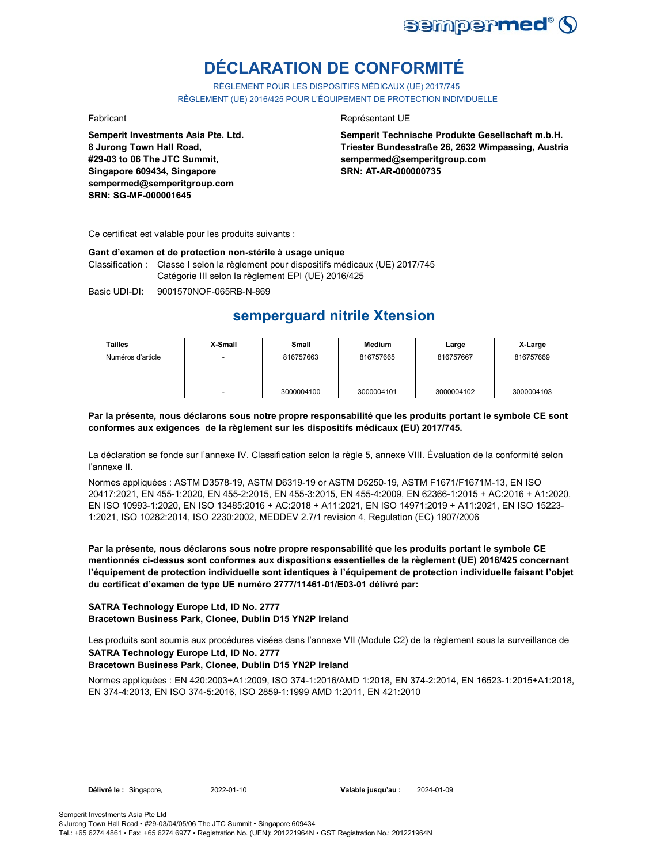

# **DÉCLARATION DE CONFORMITÉ**

RÈGLEMENT POUR LES DISPOSITIFS MÉDICAUX (UE) 2017/745 RÈGLEMENT (UE) 2016/425 POUR L'ÉQUIPEMENT DE PROTECTION INDIVIDUELLE

**Semperit Investments Asia Pte. Ltd. 8 Jurong Town Hall Road, #29-03 to 06 The JTC Summit, Singapore 609434, Singapore sempermed@semperitgroup.com SRN: SG-MF-000001645**

### Fabricant **Representant UE**

**Semperit Technische Produkte Gesellschaft m.b.H. Triester Bundesstraße 26, 2632 Wimpassing, Austria sempermed@semperitgroup.com SRN: AT-AR-000000735**

Ce certificat est valable pour les produits suivants :

### **Gant d'examen et de protection non-stérile à usage unique**

Classification : Classe I selon la règlement pour dispositifs médicaux (UE) 2017/745 Catégorie III selon la règlement EPI (UE) 2016/425

Basic UDI-DI: 9001570NOF-065RB-N-869

## **semperguard nitrile Xtension**

| Tailles           | X-Small                  | Small      | <b>Medium</b> | Large      | X-Large    |
|-------------------|--------------------------|------------|---------------|------------|------------|
| Numéros d'article |                          | 816757663  | 816757665     | 816757667  | 816757669  |
|                   | $\overline{\phantom{0}}$ | 3000004100 | 3000004101    | 3000004102 | 3000004103 |

### **Par la présente, nous déclarons sous notre propre responsabilité que les produits portant le symbole CE sont conformes aux exigences de la règlement sur les dispositifs médicaux (EU) 2017/745.**

La déclaration se fonde sur l'annexe IV. Classification selon la règle 5, annexe VIII. Évaluation de la conformité selon l'annexe II.

Normes appliquées : ASTM D3578-19, ASTM D6319-19 or ASTM D5250-19, ASTM F1671/F1671M-13, EN ISO 20417:2021, EN 455-1:2020, EN 455-2:2015, EN 455-3:2015, EN 455-4:2009, EN 62366-1:2015 + AC:2016 + A1:2020, EN ISO 10993-1:2020, EN ISO 13485:2016 + AC:2018 + A11:2021, EN ISO 14971:2019 + A11:2021, EN ISO 15223- 1:2021, ISO 10282:2014, ISO 2230:2002, MEDDEV 2.7/1 revision 4, Regulation (EC) 1907/2006

**Par la présente, nous déclarons sous notre propre responsabilité que les produits portant le symbole CE mentionnés ci-dessus sont conformes aux dispositions essentielles de la règlement (UE) 2016/425 concernant l'équipement de protection individuelle sont identiques à l'équipement de protection individuelle faisant l'objet du certificat d'examen de type UE numéro 2777/11461-01/E03-01 délivré par:**

### **SATRA Technology Europe Ltd, ID No. 2777 Bracetown Business Park, Clonee, Dublin D15 YN2P Ireland**

Les produits sont soumis aux procédures visées dans l'annexe VII (Module C2) de la règlement sous la surveillance de **SATRA Technology Europe Ltd, ID No. 2777**

### **Bracetown Business Park, Clonee, Dublin D15 YN2P Ireland**

Normes appliquées : EN 420:2003+A1:2009, ISO 374-1:2016/AMD 1:2018, EN 374-2:2014, EN 16523-1:2015+A1:2018, EN 374-4:2013, EN ISO 374-5:2016, ISO 2859-1:1999 AMD 1:2011, EN 421:2010

**Délivré le :** Singapore, 2022-01-10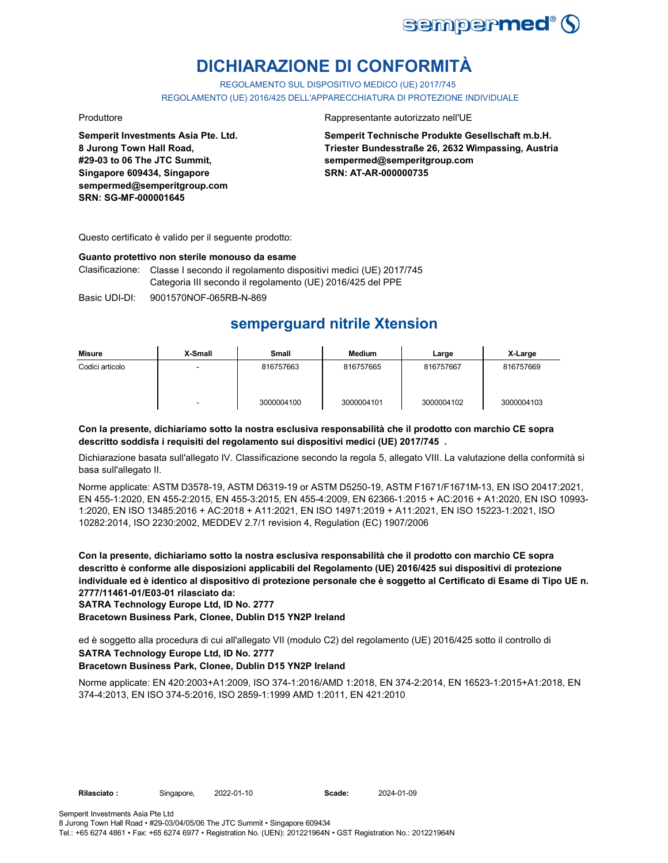

# **DICHIARAZIONE DI CONFORMITÀ**

REGOLAMENTO SUL DISPOSITIVO MEDICO (UE) 2017/745

REGOLAMENTO (UE) 2016/425 DELL'APPARECCHIATURA DI PROTEZIONE INDIVIDUALE

**Semperit Investments Asia Pte. Ltd. 8 Jurong Town Hall Road, #29-03 to 06 The JTC Summit, Singapore 609434, Singapore sempermed@semperitgroup.com SRN: SG-MF-000001645**

### Produttore Rappresentante autorizzato nell'UE

**Semperit Technische Produkte Gesellschaft m.b.H. Triester Bundesstraße 26, 2632 Wimpassing, Austria sempermed@semperitgroup.com SRN: AT-AR-000000735**

Questo certificato è valido per il seguente prodotto:

### **Guanto protettivo non sterile monouso da esame**

Clasificazione: Classe I secondo il regolamento dispositivi medici (UE) 2017/745 Categoria III secondo il regolamento (UE) 2016/425 del PPE

Basic UDI-DI: 9001570NOF-065RB-N-869

## **semperguard nitrile Xtension**

| Misure          | X-Small | <b>Small</b> | <b>Medium</b> | Large      | X-Large    |
|-----------------|---------|--------------|---------------|------------|------------|
| Codici articolo | -       | 816757663    | 816757665     | 816757667  | 816757669  |
|                 | -       | 3000004100   | 3000004101    | 3000004102 | 3000004103 |

### **Con la presente, dichiariamo sotto la nostra esclusiva responsabilità che il prodotto con marchio CE sopra descritto soddisfa i requisiti del regolamento sui dispositivi medici (UE) 2017/745 .**

Dichiarazione basata sull'allegato IV. Classificazione secondo la regola 5, allegato VIII. La valutazione della conformità si basa sull'allegato II.

Norme applicate: ASTM D3578-19, ASTM D6319-19 or ASTM D5250-19, ASTM F1671/F1671M-13, EN ISO 20417:2021, EN 455-1:2020, EN 455-2:2015, EN 455-3:2015, EN 455-4:2009, EN 62366-1:2015 + AC:2016 + A1:2020, EN ISO 10993- 1:2020, EN ISO 13485:2016 + AC:2018 + A11:2021, EN ISO 14971:2019 + A11:2021, EN ISO 15223-1:2021, ISO 10282:2014, ISO 2230:2002, MEDDEV 2.7/1 revision 4, Regulation (EC) 1907/2006

**Con la presente, dichiariamo sotto la nostra esclusiva responsabilità che il prodotto con marchio CE sopra descritto è conforme alle disposizioni applicabili del Regolamento (UE) 2016/425 sui dispositivi di protezione individuale ed è identico al dispositivo di protezione personale che è soggetto al Certificato di Esame di Tipo UE n. 2777/11461-01/E03-01 rilasciato da:**

**SATRA Technology Europe Ltd, ID No. 2777**

**Bracetown Business Park, Clonee, Dublin D15 YN2P Ireland**

ed è soggetto alla procedura di cui all'allegato VII (modulo C2) del regolamento (UE) 2016/425 sotto il controllo di **SATRA Technology Europe Ltd, ID No. 2777**

### **Bracetown Business Park, Clonee, Dublin D15 YN2P Ireland**

Norme applicate: EN 420:2003+A1:2009, ISO 374-1:2016/AMD 1:2018, EN 374-2:2014, EN 16523-1:2015+A1:2018, EN 374-4:2013, EN ISO 374-5:2016, ISO 2859-1:1999 AMD 1:2011, EN 421:2010

2022-01-10 2024-01-09

Tel.: +65 6274 4861 • Fax: +65 6274 6977 • Registration No. (UEN): 201221964N • GST Registration No.: 201221964N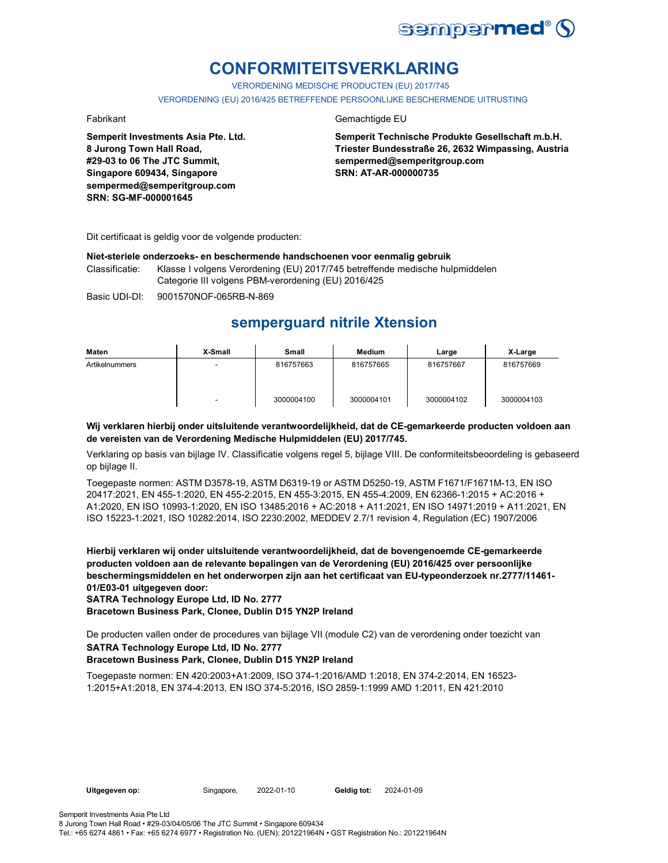

# **CONFORMITEITSVERKLARING**

VERORDENING MEDISCHE PRODUCTEN (EU) 2017/745

VERORDENING (EU) 2016/425 BETREFFENDE PERSOONLIJKE BESCHERMENDE UITRUSTING

**Semperit Investments Asia Pte. Ltd. 8 Jurong Town Hall Road, #29-03 to 06 The JTC Summit, Singapore 609434, Singapore sempermed@semperitgroup.com SRN: SG-MF-000001645**

### Fabrikant Gemachtigde EU

**Semperit Technische Produkte Gesellschaft m.b.H. Triester Bundesstraße 26, 2632 Wimpassing, Austria sempermed@semperitgroup.com SRN: AT-AR-000000735**

Dit certificaat is geldig voor de volgende producten:

### **Niet-steriele onderzoeks- en beschermende handschoenen voor eenmalig gebruik**

Classificatie: Klasse I volgens Verordening (EU) 2017/745 betreffende medische hulpmiddelen Categorie III volgens PBM-verordening (EU) 2016/425

Basic UDI-DI: 9001570NOF-065RB-N-869

## **semperguard nitrile Xtension**

| Maten          | X-Small | Small      | Medium     | Large      | X-Large    |
|----------------|---------|------------|------------|------------|------------|
| Artikelnummers | -       | 816757663  | 816757665  | 816757667  | 816757669  |
|                | -       | 3000004100 | 3000004101 | 3000004102 | 3000004103 |

### **Wij verklaren hierbij onder uitsluitende verantwoordelijkheid, dat de CE-gemarkeerde producten voldoen aan de vereisten van de Verordening Medische Hulpmiddelen (EU) 2017/745.**

Verklaring op basis van bijlage IV. Classificatie volgens regel 5, bijlage VIII. De conformiteitsbeoordeling is gebaseerd op bijlage II.

Toegepaste normen: ASTM D3578-19, ASTM D6319-19 or ASTM D5250-19, ASTM F1671/F1671M-13, EN ISO 20417:2021, EN 455-1:2020, EN 455-2:2015, EN 455-3:2015, EN 455-4:2009, EN 62366-1:2015 + AC:2016 + A1:2020, EN ISO 10993-1:2020, EN ISO 13485:2016 + AC:2018 + A11:2021, EN ISO 14971:2019 + A11:2021, EN ISO 15223-1:2021, ISO 10282:2014, ISO 2230:2002, MEDDEV 2.7/1 revision 4, Regulation (EC) 1907/2006

**Hierbij verklaren wij onder uitsluitende verantwoordelijkheid, dat de bovengenoemde CE-gemarkeerde producten voldoen aan de relevante bepalingen van de Verordening (EU) 2016/425 over persoonlijke beschermingsmiddelen en het onderworpen zijn aan het certificaat van EU-typeonderzoek nr.2777/11461- 01/E03-01 uitgegeven door:**

**SATRA Technology Europe Ltd, ID No. 2777**

**Bracetown Business Park, Clonee, Dublin D15 YN2P Ireland**

De producten vallen onder de procedures van bijlage VII (module C2) van de verordening onder toezicht van **SATRA Technology Europe Ltd, ID No. 2777**

### **Bracetown Business Park, Clonee, Dublin D15 YN2P Ireland**

Toegepaste normen: EN 420:2003+A1:2009, ISO 374-1:2016/AMD 1:2018, EN 374-2:2014, EN 16523- 1:2015+A1:2018, EN 374-4:2013, EN ISO 374-5:2016, ISO 2859-1:1999 AMD 1:2011, EN 421:2010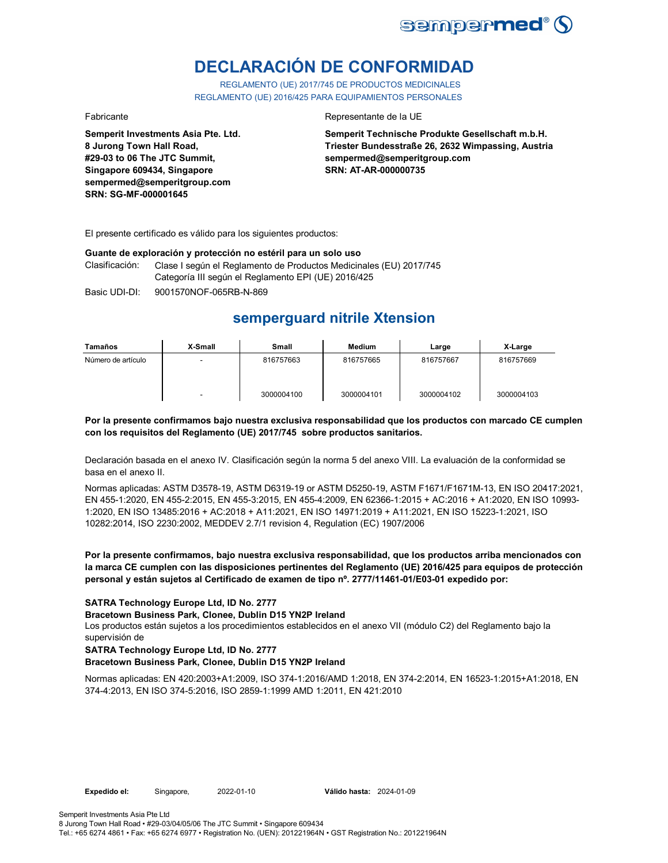

# **DECLARACIÓN DE CONFORMIDAD**

REGLAMENTO (UE) 2017/745 DE PRODUCTOS MEDICINALES REGLAMENTO (UE) 2016/425 PARA EQUIPAMIENTOS PERSONALES

**Semperit Investments Asia Pte. Ltd. 8 Jurong Town Hall Road, #29-03 to 06 The JTC Summit, Singapore 609434, Singapore sempermed@semperitgroup.com SRN: SG-MF-000001645**

### Fabricante Representante de la UE

**Semperit Technische Produkte Gesellschaft m.b.H. Triester Bundesstraße 26, 2632 Wimpassing, Austria sempermed@semperitgroup.com SRN: AT-AR-000000735**

El presente certificado es válido para los siguientes productos:

### **Guante de exploración y protección no estéril para un solo uso**

Clasificación: Clase I según el Reglamento de Productos Medicinales (EU) 2017/745 Categoría III según el Reglamento EPI (UE) 2016/425

Basic UDI-DI: 9001570NOF-065RB-N-869

## **semperguard nitrile Xtension**

| Tamaños            | X-Small                  | Small      | Medium     | Large      | X-Large    |
|--------------------|--------------------------|------------|------------|------------|------------|
| Número de artículo | $\overline{\phantom{a}}$ | 816757663  | 816757665  | 816757667  | 816757669  |
|                    | $\overline{\phantom{0}}$ | 3000004100 | 3000004101 | 3000004102 | 3000004103 |

### **Por la presente confirmamos bajo nuestra exclusiva responsabilidad que los productos con marcado CE cumplen con los requisitos del Reglamento (UE) 2017/745 sobre productos sanitarios.**

Declaración basada en el anexo IV. Clasificación según la norma 5 del anexo VIII. La evaluación de la conformidad se basa en el anexo II.

Normas aplicadas: ASTM D3578-19, ASTM D6319-19 or ASTM D5250-19, ASTM F1671/F1671M-13, EN ISO 20417:2021, EN 455-1:2020, EN 455-2:2015, EN 455-3:2015, EN 455-4:2009, EN 62366-1:2015 + AC:2016 + A1:2020, EN ISO 10993- 1:2020, EN ISO 13485:2016 + AC:2018 + A11:2021, EN ISO 14971:2019 + A11:2021, EN ISO 15223-1:2021, ISO 10282:2014, ISO 2230:2002, MEDDEV 2.7/1 revision 4, Regulation (EC) 1907/2006

### **Por la presente confirmamos, bajo nuestra exclusiva responsabilidad, que los productos arriba mencionados con la marca CE cumplen con las disposiciones pertinentes del Reglamento (UE) 2016/425 para equipos de protección personal y están sujetos al Certificado de examen de tipo nº. 2777/11461-01/E03-01 expedido por:**

### **SATRA Technology Europe Ltd, ID No. 2777**

### **Bracetown Business Park, Clonee, Dublin D15 YN2P Ireland**

Los productos están sujetos a los procedimientos establecidos en el anexo VII (módulo C2) del Reglamento bajo la supervisión de

### **SATRA Technology Europe Ltd, ID No. 2777**

### **Bracetown Business Park, Clonee, Dublin D15 YN2P Ireland**

Normas aplicadas: EN 420:2003+A1:2009, ISO 374-1:2016/AMD 1:2018, EN 374-2:2014, EN 16523-1:2015+A1:2018, EN 374-4:2013, EN ISO 374-5:2016, ISO 2859-1:1999 AMD 1:2011, EN 421:2010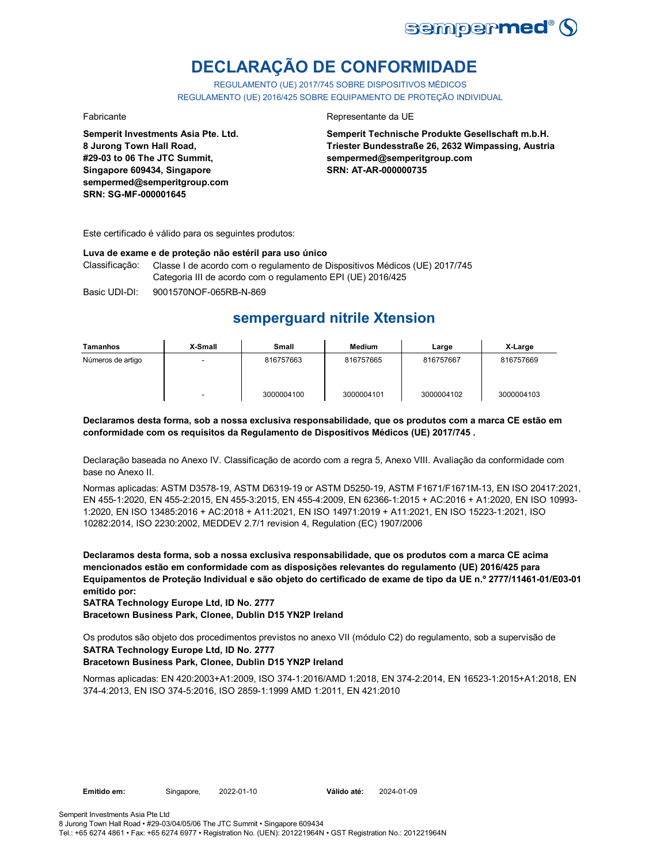

# **DECLARAÇÃO DE CONFORMIDADE**

REGULAMENTO (UE) 2017/745 SOBRE DISPOSITIVOS MÉDICOS REGULAMENTO (UE) 2016/425 SOBRE EQUIPAMENTO DE PROTEÇÃO INDIVIDUAL

**Semperit Investments Asia Pte. Ltd. 8 Jurong Town Hall Road, #29-03 to 06 The JTC Summit, Singapore 609434, Singapore sempermed@semperitgroup.com SRN: SG-MF-000001645**

### Fabricante Representante da UE

**Semperit Technische Produkte Gesellschaft m.b.H. Triester Bundesstraße 26, 2632 Wimpassing, Austria sempermed@semperitgroup.com SRN: AT-AR-000000735**

Este certificado é válido para os seguintes produtos:

### **Luva de exame e de proteção não estéril para uso único**

Classificação: Classe I de acordo com o regulamento de Dispositivos Médicos (UE) 2017/745 Categoria III de acordo com o regulamento EPI (UE) 2016/425

Basic UDI-DI: 9001570NOF-065RB-N-869

## **semperguard nitrile Xtension**

| Tamanhos          | X-Small                  | Small      | <b>Medium</b> | Large      | X-Large    |
|-------------------|--------------------------|------------|---------------|------------|------------|
| Números de artigo | -                        | 816757663  | 816757665     | 816757667  | 816757669  |
|                   | $\overline{\phantom{a}}$ | 3000004100 | 3000004101    | 3000004102 | 3000004103 |

### **Declaramos desta forma, sob a nossa exclusiva responsabilidade, que os produtos com a marca CE estão em conformidade com os requisitos da Regulamento de Dispositivos Médicos (UE) 2017/745 .**

Declaração baseada no Anexo IV. Classificação de acordo com a regra 5, Anexo VIII. Avaliação da conformidade com base no Anexo II.

Normas aplicadas: ASTM D3578-19, ASTM D6319-19 or ASTM D5250-19, ASTM F1671/F1671M-13, EN ISO 20417:2021, EN 455-1:2020, EN 455-2:2015, EN 455-3:2015, EN 455-4:2009, EN 62366-1:2015 + AC:2016 + A1:2020, EN ISO 10993- 1:2020, EN ISO 13485:2016 + AC:2018 + A11:2021, EN ISO 14971:2019 + A11:2021, EN ISO 15223-1:2021, ISO 10282:2014, ISO 2230:2002, MEDDEV 2.7/1 revision 4, Regulation (EC) 1907/2006

**Declaramos desta forma, sob a nossa exclusiva responsabilidade, que os produtos com a marca CE acima mencionados estão em conformidade com as disposições relevantes do regulamento (UE) 2016/425 para Equipamentos de Proteção Individual e são objeto do certificado de exame de tipo da UE n.º 2777/11461-01/E03-01 emitido por:**

**SATRA Technology Europe Ltd, ID No. 2777**

**Bracetown Business Park, Clonee, Dublin D15 YN2P Ireland**

Os produtos são objeto dos procedimentos previstos no anexo VII (módulo C2) do regulamento, sob a supervisão de **SATRA Technology Europe Ltd, ID No. 2777**

### **Bracetown Business Park, Clonee, Dublin D15 YN2P Ireland**

Normas aplicadas: EN 420:2003+A1:2009, ISO 374-1:2016/AMD 1:2018, EN 374-2:2014, EN 16523-1:2015+A1:2018, EN 374-4:2013, EN ISO 374-5:2016, ISO 2859-1:1999 AMD 1:2011, EN 421:2010

Emitido em: Singapore, 2022-01-10 Válido até: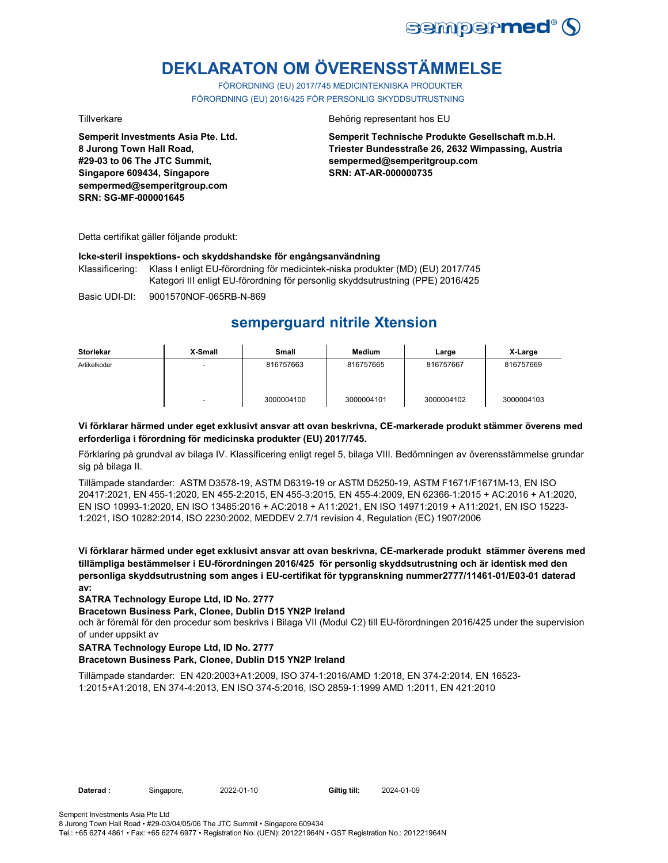

# **DEKLARATON OM ÖVERENSSTÄMMELSE**

FÖRORDNING (EU) 2017/745 MEDICINTEKNISKA PRODUKTER FÖRORDNING (EU) 2016/425 FÖR PERSONLIG SKYDDSUTRUSTNING

**Semperit Investments Asia Pte. Ltd. 8 Jurong Town Hall Road, #29-03 to 06 The JTC Summit, Singapore 609434, Singapore sempermed@semperitgroup.com SRN: SG-MF-000001645**

### Tillverkare Behörig representant hos EU

**Semperit Technische Produkte Gesellschaft m.b.H. Triester Bundesstraße 26, 2632 Wimpassing, Austria sempermed@semperitgroup.com SRN: AT-AR-000000735**

Detta certifikat gäller följande produkt:

### **Icke-steril inspektions- och skyddshandske för engångsanvändning**

Klassificering: Klass I enligt EU-förordning för medicintek-niska produkter (MD) (EU) 2017/745 Kategori III enligt EU-förordning för personlig skyddsutrustning (PPE) 2016/425

Basic UDI-DI: 9001570NOF-065RB-N-869

## **semperguard nitrile Xtension**

| <b>Storlekar</b> | X-Small | <b>Small</b> | Medium     | Large      | X-Large    |
|------------------|---------|--------------|------------|------------|------------|
| Artikelkoder     | -       | 816757663    | 816757665  | 816757667  | 816757669  |
|                  |         | 3000004100   | 3000004101 | 3000004102 | 3000004103 |

### **Vi förklarar härmed under eget exklusivt ansvar att ovan beskrivna, CE-markerade produkt stämmer överens med erforderliga i förordning för medicinska produkter (EU) 2017/745.**

Förklaring på grundval av bilaga IV. Klassificering enligt regel 5, bilaga VIII. Bedömningen av överensstämmelse grundar sig på bilaga II.

Tillämpade standarder: ASTM D3578-19, ASTM D6319-19 or ASTM D5250-19, ASTM F1671/F1671M-13, EN ISO 20417:2021, EN 455-1:2020, EN 455-2:2015, EN 455-3:2015, EN 455-4:2009, EN 62366-1:2015 + AC:2016 + A1:2020, EN ISO 10993-1:2020, EN ISO 13485:2016 + AC:2018 + A11:2021, EN ISO 14971:2019 + A11:2021, EN ISO 15223- 1:2021, ISO 10282:2014, ISO 2230:2002, MEDDEV 2.7/1 revision 4, Regulation (EC) 1907/2006

**Vi förklarar härmed under eget exklusivt ansvar att ovan beskrivna, CE-markerade produkt stämmer överens med tillämpliga bestämmelser i EU-förordningen 2016/425 för personlig skyddsutrustning och är identisk med den personliga skyddsutrustning som anges i EU-certifikat för typgranskning nummer2777/11461-01/E03-01 daterad av:**

### **SATRA Technology Europe Ltd, ID No. 2777**

### **Bracetown Business Park, Clonee, Dublin D15 YN2P Ireland**

och är föremål för den procedur som beskrivs i Bilaga VII (Modul C2) till EU-förordningen 2016/425 under the supervision of under uppsikt av

### **SATRA Technology Europe Ltd, ID No. 2777**

### **Bracetown Business Park, Clonee, Dublin D15 YN2P Ireland**

Tillämpade standarder: EN 420:2003+A1:2009, ISO 374-1:2016/AMD 1:2018, EN 374-2:2014, EN 16523- 1:2015+A1:2018, EN 374-4:2013, EN ISO 374-5:2016, ISO 2859-1:1999 AMD 1:2011, EN 421:2010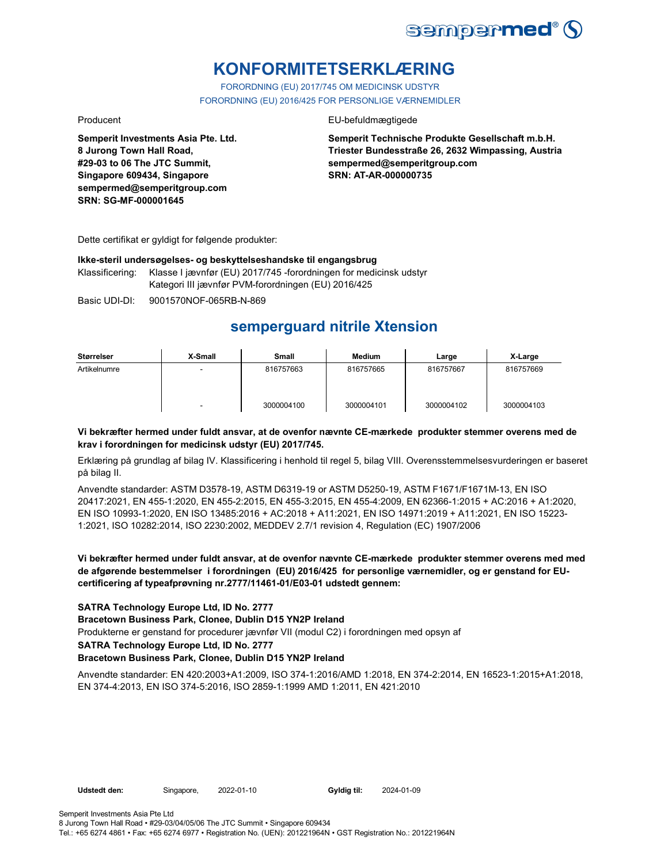

# **KONFORMITETSERKLÆRING**

FORORDNING (EU) 2017/745 OM MEDICINSK UDSTYR FORORDNING (EU) 2016/425 FOR PERSONLIGE VÆRNEMIDLER

**Semperit Investments Asia Pte. Ltd. 8 Jurong Town Hall Road, #29-03 to 06 The JTC Summit, Singapore 609434, Singapore sempermed@semperitgroup.com SRN: SG-MF-000001645**

### Producent EU-befuldmægtigede

**Semperit Technische Produkte Gesellschaft m.b.H. Triester Bundesstraße 26, 2632 Wimpassing, Austria sempermed@semperitgroup.com SRN: AT-AR-000000735**

Dette certifikat er gyldigt for følgende produkter:

### **Ikke-steril undersøgelses- og beskyttelseshandske til engangsbrug**

Klassificering: Klasse I jævnfør (EU) 2017/745 -forordningen for medicinsk udstyr Kategori III jævnfør PVM-forordningen (EU) 2016/425

Basic UDI-DI: 9001570NOF-065RB-N-869

## **semperguard nitrile Xtension**

| Størrelser   | X-Small | Small      | Medium     | Large      | X-Large    |
|--------------|---------|------------|------------|------------|------------|
| Artikelnumre | -       | 816757663  | 816757665  | 816757667  | 816757669  |
|              | -       | 3000004100 | 3000004101 | 3000004102 | 3000004103 |

### **Vi bekræfter hermed under fuldt ansvar, at de ovenfor nævnte CE-mærkede produkter stemmer overens med de krav i forordningen for medicinsk udstyr (EU) 2017/745.**

Erklæring på grundlag af bilag IV. Klassificering i henhold til regel 5, bilag VIII. Overensstemmelsesvurderingen er baseret på bilag II.

Anvendte standarder: ASTM D3578-19, ASTM D6319-19 or ASTM D5250-19, ASTM F1671/F1671M-13, EN ISO 20417:2021, EN 455-1:2020, EN 455-2:2015, EN 455-3:2015, EN 455-4:2009, EN 62366-1:2015 + AC:2016 + A1:2020, EN ISO 10993-1:2020, EN ISO 13485:2016 + AC:2018 + A11:2021, EN ISO 14971:2019 + A11:2021, EN ISO 15223- 1:2021, ISO 10282:2014, ISO 2230:2002, MEDDEV 2.7/1 revision 4, Regulation (EC) 1907/2006

### **Vi bekræfter hermed under fuldt ansvar, at de ovenfor nævnte CE-mærkede produkter stemmer overens med med de afgørende bestemmelser i forordningen (EU) 2016/425 for personlige værnemidler, og er genstand for EUcertificering af typeafprøvning nr.2777/11461-01/E03-01 udstedt gennem:**

### **SATRA Technology Europe Ltd, ID No. 2777**

### **Bracetown Business Park, Clonee, Dublin D15 YN2P Ireland**

Produkterne er genstand for procedurer jævnfør VII (modul C2) i forordningen med opsyn af

**SATRA Technology Europe Ltd, ID No. 2777**

### **Bracetown Business Park, Clonee, Dublin D15 YN2P Ireland**

Anvendte standarder: EN 420:2003+A1:2009, ISO 374-1:2016/AMD 1:2018, EN 374-2:2014, EN 16523-1:2015+A1:2018, EN 374-4:2013, EN ISO 374-5:2016, ISO 2859-1:1999 AMD 1:2011, EN 421:2010

Gyldig til: 2024-01-09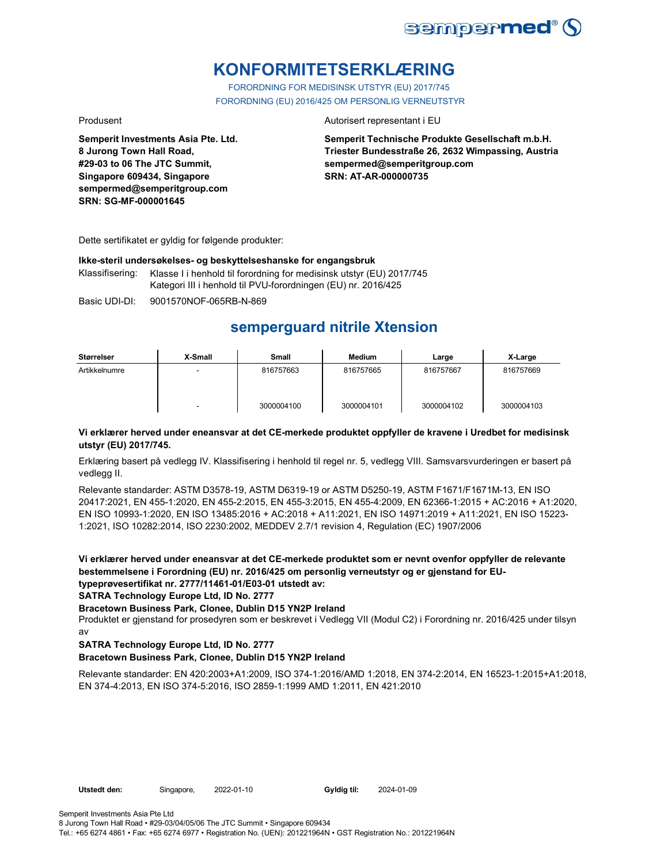

# **KONFORMITETSERKLÆRING**

FORORDNING FOR MEDISINSK UTSTYR (EU) 2017/745 FORORDNING (EU) 2016/425 OM PERSONLIG VERNEUTSTYR

**Semperit Investments Asia Pte. Ltd. 8 Jurong Town Hall Road, #29-03 to 06 The JTC Summit, Singapore 609434, Singapore sempermed@semperitgroup.com SRN: SG-MF-000001645**

### Produsent **Autorisert representant i EU**

**Semperit Technische Produkte Gesellschaft m.b.H. Triester Bundesstraße 26, 2632 Wimpassing, Austria sempermed@semperitgroup.com SRN: AT-AR-000000735**

Dette sertifikatet er gyldig for følgende produkter:

### **Ikke-steril undersøkelses- og beskyttelseshanske for engangsbruk**

Klassifisering: Klasse I i henhold til forordning for medisinsk utstyr (EU) 2017/745 Kategori III i henhold til PVU-forordningen (EU) nr. 2016/425

Basic UDI-DI: 9001570NOF-065RB-N-869

## **semperguard nitrile Xtension**

| Størrelser    | X-Small | Small      | Medium     | Large      | X-Large    |
|---------------|---------|------------|------------|------------|------------|
| Artikkelnumre |         | 816757663  | 816757665  | 816757667  | 816757669  |
|               | -       | 3000004100 | 3000004101 | 3000004102 | 3000004103 |

### **Vi erklærer herved under eneansvar at det CE-merkede produktet oppfyller de kravene i Uredbet for medisinsk utstyr (EU) 2017/745.**

Erklæring basert på vedlegg IV. Klassifisering i henhold til regel nr. 5, vedlegg VIII. Samsvarsvurderingen er basert på vedlegg II.

Relevante standarder: ASTM D3578-19, ASTM D6319-19 or ASTM D5250-19, ASTM F1671/F1671M-13, EN ISO 20417:2021, EN 455-1:2020, EN 455-2:2015, EN 455-3:2015, EN 455-4:2009, EN 62366-1:2015 + AC:2016 + A1:2020, EN ISO 10993-1:2020, EN ISO 13485:2016 + AC:2018 + A11:2021, EN ISO 14971:2019 + A11:2021, EN ISO 15223- 1:2021, ISO 10282:2014, ISO 2230:2002, MEDDEV 2.7/1 revision 4, Regulation (EC) 1907/2006

**Vi erklærer herved under eneansvar at det CE-merkede produktet som er nevnt ovenfor oppfyller de relevante bestemmelsene i Forordning (EU) nr. 2016/425 om personlig verneutstyr og er gjenstand for EUtypeprøvesertifikat nr. 2777/11461-01/E03-01 utstedt av:**

**SATRA Technology Europe Ltd, ID No. 2777**

### **Bracetown Business Park, Clonee, Dublin D15 YN2P Ireland**

Produktet er gjenstand for prosedyren som er beskrevet i Vedlegg VII (Modul C2) i Forordning nr. 2016/425 under tilsyn av

### **SATRA Technology Europe Ltd, ID No. 2777**

### **Bracetown Business Park, Clonee, Dublin D15 YN2P Ireland**

Relevante standarder: EN 420:2003+A1:2009, ISO 374-1:2016/AMD 1:2018, EN 374-2:2014, EN 16523-1:2015+A1:2018, EN 374-4:2013, EN ISO 374-5:2016, ISO 2859-1:1999 AMD 1:2011, EN 421:2010

Gyldig til: 2024-01-09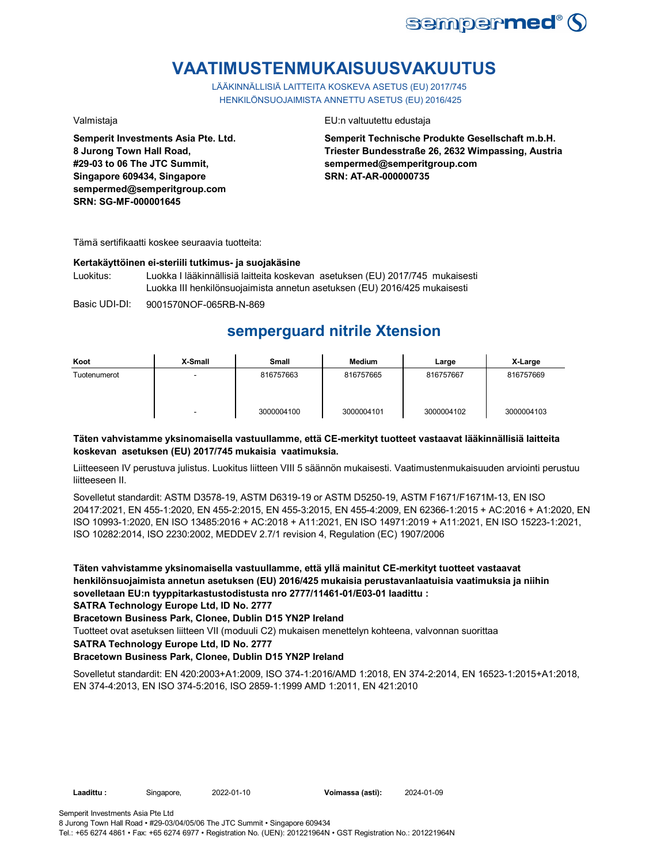

# **VAATIMUSTENMUKAISUUSVAKUUTUS**

LÄÄKINNÄLLISIÄ LAITTEITA KOSKEVA ASETUS (EU) 2017/745 HENKILÖNSUOJAIMISTA ANNETTU ASETUS (EU) 2016/425

**Semperit Investments Asia Pte. Ltd. 8 Jurong Town Hall Road, #29-03 to 06 The JTC Summit, Singapore 609434, Singapore sempermed@semperitgroup.com SRN: SG-MF-000001645**

### Valmistaja EU:n valtuutettu edustaja

**Semperit Technische Produkte Gesellschaft m.b.H. Triester Bundesstraße 26, 2632 Wimpassing, Austria sempermed@semperitgroup.com SRN: AT-AR-000000735**

Tämä sertifikaatti koskee seuraavia tuotteita:

### **Kertakäyttöinen ei-steriili tutkimus- ja suojakäsine**

Luokitus: Luokka I lääkinnällisiä laitteita koskevan asetuksen (EU) 2017/745 mukaisesti Luokka III henkilönsuojaimista annetun asetuksen (EU) 2016/425 mukaisesti

Basic UDI-DI: 9001570NOF-065RB-N-869

## **semperguard nitrile Xtension**

| Koot         | X-Small | Small      | <b>Medium</b> | Large      | X-Large    |
|--------------|---------|------------|---------------|------------|------------|
| Tuotenumerot |         | 816757663  | 816757665     | 816757667  | 816757669  |
|              |         | 3000004100 | 3000004101    | 3000004102 | 3000004103 |

### **Täten vahvistamme yksinomaisella vastuullamme, että CE-merkityt tuotteet vastaavat lääkinnällisiä laitteita koskevan asetuksen (EU) 2017/745 mukaisia vaatimuksia.**

Liitteeseen IV perustuva julistus. Luokitus liitteen VIII 5 säännön mukaisesti. Vaatimustenmukaisuuden arviointi perustuu liitteeseen II.

Sovelletut standardit: ASTM D3578-19, ASTM D6319-19 or ASTM D5250-19, ASTM F1671/F1671M-13, EN ISO 20417:2021, EN 455-1:2020, EN 455-2:2015, EN 455-3:2015, EN 455-4:2009, EN 62366-1:2015 + AC:2016 + A1:2020, EN ISO 10993-1:2020, EN ISO 13485:2016 + AC:2018 + A11:2021, EN ISO 14971:2019 + A11:2021, EN ISO 15223-1:2021, ISO 10282:2014, ISO 2230:2002, MEDDEV 2.7/1 revision 4, Regulation (EC) 1907/2006

**Täten vahvistamme yksinomaisella vastuullamme, että yllä mainitut CE-merkityt tuotteet vastaavat henkilönsuojaimista annetun asetuksen (EU) 2016/425 mukaisia perustavanlaatuisia vaatimuksia ja niihin sovelletaan EU:n tyyppitarkastustodistusta nro 2777/11461-01/E03-01 laadittu :**

**SATRA Technology Europe Ltd, ID No. 2777**

**Bracetown Business Park, Clonee, Dublin D15 YN2P Ireland**

Tuotteet ovat asetuksen liitteen VII (moduuli C2) mukaisen menettelyn kohteena, valvonnan suorittaa

**SATRA Technology Europe Ltd, ID No. 2777**

### **Bracetown Business Park, Clonee, Dublin D15 YN2P Ireland**

Sovelletut standardit: EN 420:2003+A1:2009, ISO 374-1:2016/AMD 1:2018, EN 374-2:2014, EN 16523-1:2015+A1:2018, EN 374-4:2013, EN ISO 374-5:2016, ISO 2859-1:1999 AMD 1:2011, EN 421:2010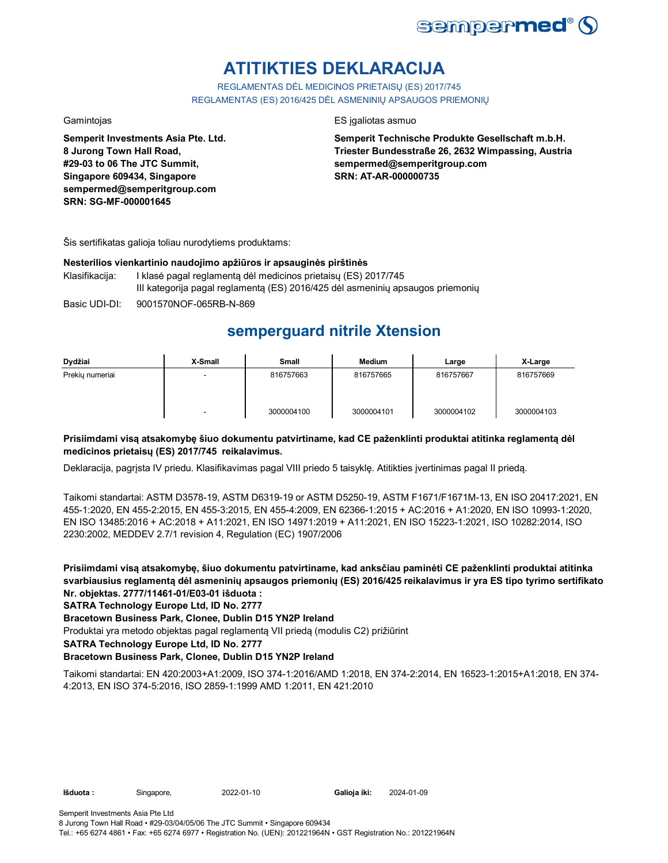

# **ATITIKTIES DEKLARACIJA**

REGLAMENTAS DĖL MEDICINOS PRIETAISŲ (ES) 2017/745 REGLAMENTAS (ES) 2016/425 DĖL ASMENINIŲ APSAUGOS PRIEMONIŲ

**Semperit Investments Asia Pte. Ltd. 8 Jurong Town Hall Road, #29-03 to 06 The JTC Summit, Singapore 609434, Singapore sempermed@semperitgroup.com SRN: SG-MF-000001645**

### Gamintojas ES įgaliotas asmuo

**Semperit Technische Produkte Gesellschaft m.b.H. Triester Bundesstraße 26, 2632 Wimpassing, Austria sempermed@semperitgroup.com SRN: AT-AR-000000735**

Šis sertifikatas galioja toliau nurodytiems produktams:

### **Nesterilios vienkartinio naudojimo apžiūros ir apsauginės pirštinės**

- Klasifikacija: I klasė pagal reglamentą dėl medicinos prietaisų (ES) 2017/745 III kategorija pagal reglamentą (ES) 2016/425 dėl asmeninių apsaugos priemonių
- Basic UDI-DI: 9001570NOF-065RB-N-869

## **semperguard nitrile Xtension**

| Dydžiai         | X-Small | Small      | <b>Medium</b> | Large      | X-Large    |
|-----------------|---------|------------|---------------|------------|------------|
| Prekiu numeriai |         | 816757663  | 816757665     | 816757667  | 816757669  |
|                 | -       | 3000004100 | 3000004101    | 3000004102 | 3000004103 |

### **Prisiimdami visą atsakomybę šiuo dokumentu patvirtiname, kad CE paženklinti produktai atitinka reglamentą dėl medicinos prietaisų (ES) 2017/745 reikalavimus.**

Deklaracija, pagrįsta IV priedu. Klasifikavimas pagal VIII priedo 5 taisyklę. Atitikties įvertinimas pagal II priedą.

Taikomi standartai: ASTM D3578-19, ASTM D6319-19 or ASTM D5250-19, ASTM F1671/F1671M-13, EN ISO 20417:2021, EN 455-1:2020, EN 455-2:2015, EN 455-3:2015, EN 455-4:2009, EN 62366-1:2015 + AC:2016 + A1:2020, EN ISO 10993-1:2020, EN ISO 13485:2016 + AC:2018 + A11:2021, EN ISO 14971:2019 + A11:2021, EN ISO 15223-1:2021, ISO 10282:2014, ISO 2230:2002, MEDDEV 2.7/1 revision 4, Regulation (EC) 1907/2006

**Prisiimdami visą atsakomybę, šiuo dokumentu patvirtiname, kad anksčiau paminėti CE paženklinti produktai atitinka svarbiausius reglamentą dėl asmeninių apsaugos priemonių (ES) 2016/425 reikalavimus ir yra ES tipo tyrimo sertifikato Nr. objektas. 2777/11461-01/E03-01 išduota :**

### **SATRA Technology Europe Ltd, ID No. 2777**

**Bracetown Business Park, Clonee, Dublin D15 YN2P Ireland**

Produktai yra metodo objektas pagal reglamentą VII priedą (modulis C2) prižiūrint

**SATRA Technology Europe Ltd, ID No. 2777**

### **Bracetown Business Park, Clonee, Dublin D15 YN2P Ireland**

Taikomi standartai: EN 420:2003+A1:2009, ISO 374-1:2016/AMD 1:2018, EN 374-2:2014, EN 16523-1:2015+A1:2018, EN 374- 4:2013, EN ISO 374-5:2016, ISO 2859-1:1999 AMD 1:2011, EN 421:2010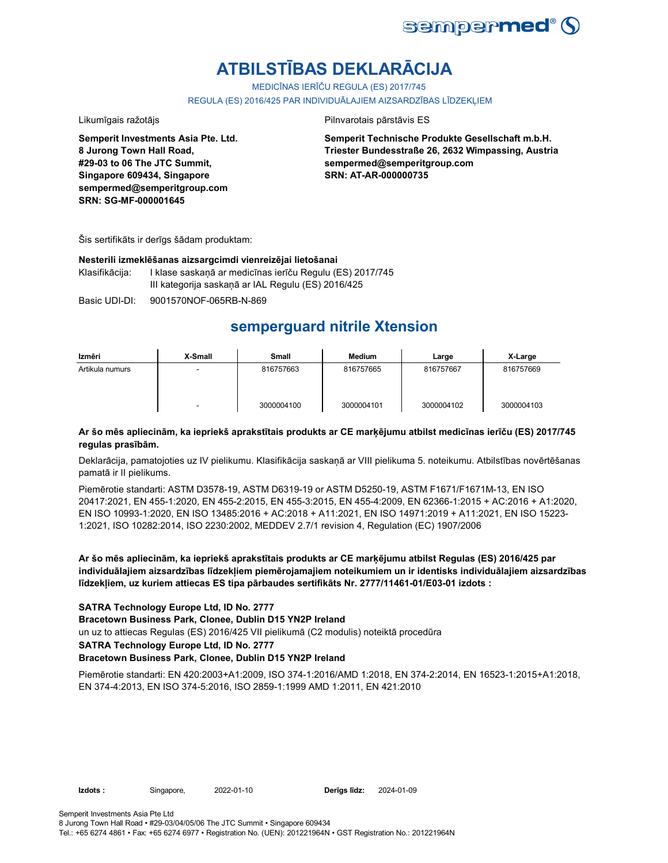

# **ATBILSTĪBAS DEKLARĀCIJA**

MEDICĪNAS IERĪČU REGULA (ES) 2017/745

REGULA (ES) 2016/425 PAR INDIVIDUĀLAJIEM AIZSARDZĪBAS LĪDZEKLIEM

Likumīgais ražotājs **Pilnvarotais pārstāvis ES** 

**Semperit Investments Asia Pte. Ltd. 8 Jurong Town Hall Road, #29-03 to 06 The JTC Summit, Singapore 609434, Singapore sempermed@semperitgroup.com SRN: SG-MF-000001645**

**Semperit Technische Produkte Gesellschaft m.b.H. Triester Bundesstraße 26, 2632 Wimpassing, Austria sempermed@semperitgroup.com SRN: AT-AR-000000735**

Šis sertifikāts ir derīgs šādam produktam:

### **Nesterili izmeklēšanas aizsargcimdi vienreizējai lietošanai**

Klasifikācija: I klase saskaņā ar medicīnas ierīču Regulu (ES) 2017/745 III kategorija saskaņā ar IAL Regulu (ES) 2016/425

Basic UDI-DI: 9001570NOF-065RB-N-869

## **semperguard nitrile Xtension**

| Izmēri          | X-Small | Small      | Medium     | Large      | X-Large    |
|-----------------|---------|------------|------------|------------|------------|
| Artikula numurs |         | 816757663  | 816757665  | 816757667  | 816757669  |
|                 | -       | 3000004100 | 3000004101 | 3000004102 | 3000004103 |

### **Ar šo mēs apliecinām, ka iepriekš aprakstītais produkts ar CE marķējumu atbilst medicīnas ierīču (ES) 2017/745 regulas prasībām.**

Deklarācija, pamatojoties uz IV pielikumu. Klasifikācija saskaņā ar VIII pielikuma 5. noteikumu. Atbilstības novērtēšanas pamatā ir II pielikums.

Piemērotie standarti: ASTM D3578-19, ASTM D6319-19 or ASTM D5250-19, ASTM F1671/F1671M-13, EN ISO 20417:2021, EN 455-1:2020, EN 455-2:2015, EN 455-3:2015, EN 455-4:2009, EN 62366-1:2015 + AC:2016 + A1:2020, EN ISO 10993-1:2020, EN ISO 13485:2016 + AC:2018 + A11:2021, EN ISO 14971:2019 + A11:2021, EN ISO 15223- 1:2021, ISO 10282:2014, ISO 2230:2002, MEDDEV 2.7/1 revision 4, Regulation (EC) 1907/2006

**Ar šo mēs apliecinām, ka iepriekš aprakstītais produkts ar CE marķējumu atbilst Regulas (ES) 2016/425 par individuālajiem aizsardzības līdzekļiem piemērojamajiem noteikumiem un ir identisks individuālajiem aizsardzības līdzekļiem, uz kuriem attiecas ES tipa pārbaudes sertifikāts Nr. 2777/11461-01/E03-01 izdots :**

### **SATRA Technology Europe Ltd, ID No. 2777**

**Bracetown Business Park, Clonee, Dublin D15 YN2P Ireland**

un uz to attiecas Regulas (ES) 2016/425 VII pielikumā (C2 modulis) noteiktā procedūra

**SATRA Technology Europe Ltd, ID No. 2777**

### **Bracetown Business Park, Clonee, Dublin D15 YN2P Ireland**

Piemērotie standarti: EN 420:2003+A1:2009, ISO 374-1:2016/AMD 1:2018, EN 374-2:2014, EN 16523-1:2015+A1:2018, EN 374-4:2013, EN ISO 374-5:2016, ISO 2859-1:1999 AMD 1:2011, EN 421:2010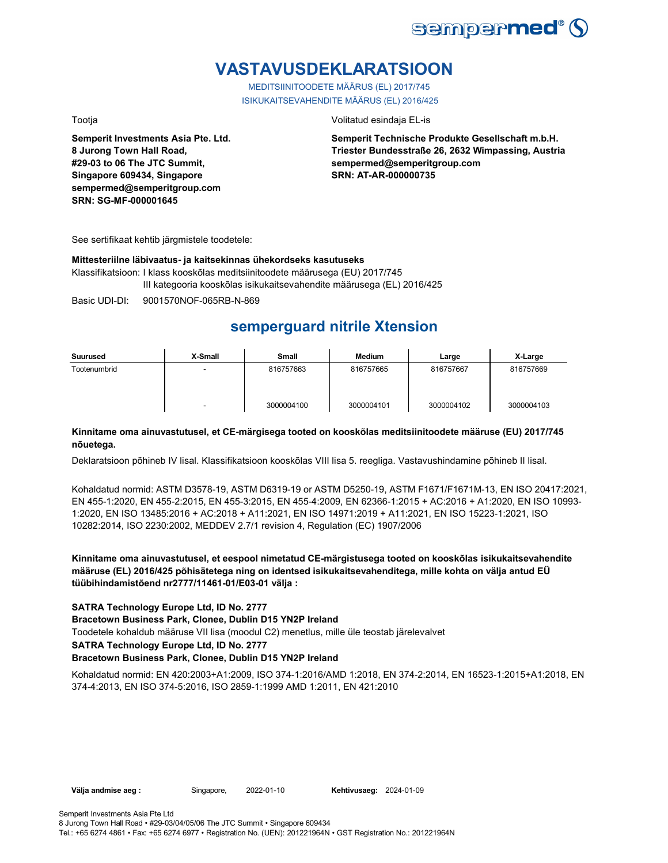

# **VASTAVUSDEKLARATSIOON**

MEDITSIINITOODETE MÄÄRUS (EL) 2017/745 ISIKUKAITSEVAHENDITE MÄÄRUS (EL) 2016/425

**Semperit Investments Asia Pte. Ltd. 8 Jurong Town Hall Road, #29-03 to 06 The JTC Summit, Singapore 609434, Singapore sempermed@semperitgroup.com SRN: SG-MF-000001645**

Tootja Volitatud esindaja EL-is

**Semperit Technische Produkte Gesellschaft m.b.H. Triester Bundesstraße 26, 2632 Wimpassing, Austria sempermed@semperitgroup.com SRN: AT-AR-000000735**

See sertifikaat kehtib järgmistele toodetele:

### **Mittesteriilne läbivaatus- ja kaitsekinnas ühekordseks kasutuseks**

Klassifikatsioon: I klass kooskõlas meditsiinitoodete määrusega (EU) 2017/745 III kategooria kooskõlas isikukaitsevahendite määrusega (EL) 2016/425

Basic UDI-DI: 9001570NOF-065RB-N-869

## **semperguard nitrile Xtension**

| Suurused     | X-Small | <b>Small</b> | Medium     | Large      | X-Large    |
|--------------|---------|--------------|------------|------------|------------|
| Tootenumbrid | -       | 816757663    | 816757665  | 816757667  | 816757669  |
|              | ٠       | 3000004100   | 3000004101 | 3000004102 | 3000004103 |

### **Kinnitame oma ainuvastutusel, et CE-märgisega tooted on kooskõlas meditsiinitoodete määruse (EU) 2017/745 nõuetega.**

Deklaratsioon põhineb IV lisal. Klassifikatsioon kooskõlas VIII lisa 5. reegliga. Vastavushindamine põhineb II lisal.

Kohaldatud normid: ASTM D3578-19, ASTM D6319-19 or ASTM D5250-19, ASTM F1671/F1671M-13, EN ISO 20417:2021, EN 455-1:2020, EN 455-2:2015, EN 455-3:2015, EN 455-4:2009, EN 62366-1:2015 + AC:2016 + A1:2020, EN ISO 10993- 1:2020, EN ISO 13485:2016 + AC:2018 + A11:2021, EN ISO 14971:2019 + A11:2021, EN ISO 15223-1:2021, ISO 10282:2014, ISO 2230:2002, MEDDEV 2.7/1 revision 4, Regulation (EC) 1907/2006

**Kinnitame oma ainuvastutusel, et eespool nimetatud CE-märgistusega tooted on kooskõlas isikukaitsevahendite määruse (EL) 2016/425 põhisätetega ning on identsed isikukaitsevahenditega, mille kohta on välja antud EÜ tüübihindamistõend nr2777/11461-01/E03-01 välja :**

### **SATRA Technology Europe Ltd, ID No. 2777**

**Bracetown Business Park, Clonee, Dublin D15 YN2P Ireland**

Toodetele kohaldub määruse VII lisa (moodul C2) menetlus, mille üle teostab järelevalvet

**SATRA Technology Europe Ltd, ID No. 2777**

### **Bracetown Business Park, Clonee, Dublin D15 YN2P Ireland**

Kohaldatud normid: EN 420:2003+A1:2009, ISO 374-1:2016/AMD 1:2018, EN 374-2:2014, EN 16523-1:2015+A1:2018, EN 374-4:2013, EN ISO 374-5:2016, ISO 2859-1:1999 AMD 1:2011, EN 421:2010

Välja andmise aeg : Singapore, 2022-01-10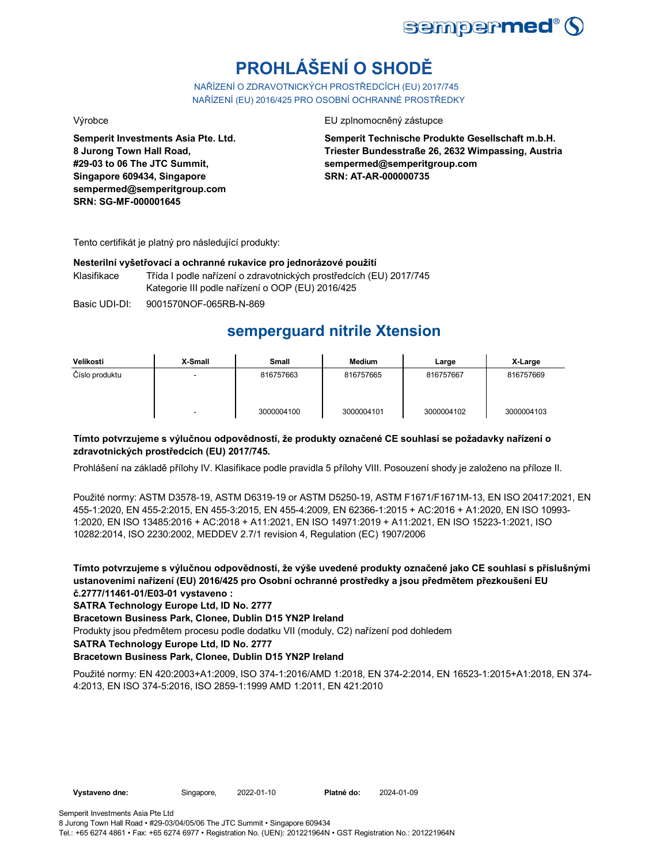

# **PROHLÁŠENÍ O SHODĚ**

NAŘÍZENÍ O ZDRAVOTNICKÝCH PROSTŘEDCÍCH (EU) 2017/745 NAŘÍZENÍ (EU) 2016/425 PRO OSOBNÍ OCHRANNÉ PROSTŘEDKY

**Semperit Investments Asia Pte. Ltd. 8 Jurong Town Hall Road, #29-03 to 06 The JTC Summit, Singapore 609434, Singapore sempermed@semperitgroup.com SRN: SG-MF-000001645**

Výrobce EU zplnomocněný zástupce

**Semperit Technische Produkte Gesellschaft m.b.H. Triester Bundesstraße 26, 2632 Wimpassing, Austria sempermed@semperitgroup.com SRN: AT-AR-000000735**

Tento certifikát je platný pro následující produkty:

### **Nesterilní vyšetřovací a ochranné rukavice pro jednorázové použití**

Klasifikace Třída I podle nařízení o zdravotnických prostředcích (EU) 2017/745 Kategorie III podle nařízení o OOP (EU) 2016/425

Basic UDI-DI: 9001570NOF-065RB-N-869

## **semperguard nitrile Xtension**

| Velikosti      | X-Small | Small      | <b>Medium</b> | Large      | X-Large    |
|----------------|---------|------------|---------------|------------|------------|
| Číslo produktu |         | 816757663  | 816757665     | 816757667  | 816757669  |
|                | -       | 3000004100 | 3000004101    | 3000004102 | 3000004103 |

### **Tímto potvrzujeme s výlučnou odpovědností, že produkty označené CE souhlasí se požadavky nařízení o zdravotnických prostředcích (EU) 2017/745.**

Prohlášení na základě přílohy IV. Klasifikace podle pravidla 5 přílohy VIII. Posouzení shody je založeno na příloze II.

Použité normy: ASTM D3578-19, ASTM D6319-19 or ASTM D5250-19, ASTM F1671/F1671M-13, EN ISO 20417:2021, EN 455-1:2020, EN 455-2:2015, EN 455-3:2015, EN 455-4:2009, EN 62366-1:2015 + AC:2016 + A1:2020, EN ISO 10993- 1:2020, EN ISO 13485:2016 + AC:2018 + A11:2021, EN ISO 14971:2019 + A11:2021, EN ISO 15223-1:2021, ISO 10282:2014, ISO 2230:2002, MEDDEV 2.7/1 revision 4, Regulation (EC) 1907/2006

**Tímto potvrzujeme s výlučnou odpovědností, že výše uvedené produkty označené jako CE souhlasí s příslušnými ustanoveními nařízení (EU) 2016/425 pro Osobní ochranné prostředky a jsou předmětem přezkoušení EU č.2777/11461-01/E03-01 vystaveno :**

**SATRA Technology Europe Ltd, ID No. 2777**

**Bracetown Business Park, Clonee, Dublin D15 YN2P Ireland**

Produkty jsou předmětem procesu podle dodatku VII (moduly, C2) nařízení pod dohledem

**SATRA Technology Europe Ltd, ID No. 2777**

### **Bracetown Business Park, Clonee, Dublin D15 YN2P Ireland**

Použité normy: EN 420:2003+A1:2009, ISO 374-1:2016/AMD 1:2018, EN 374-2:2014, EN 16523-1:2015+A1:2018, EN 374- 4:2013, EN ISO 374-5:2016, ISO 2859-1:1999 AMD 1:2011, EN 421:2010

2024-01-09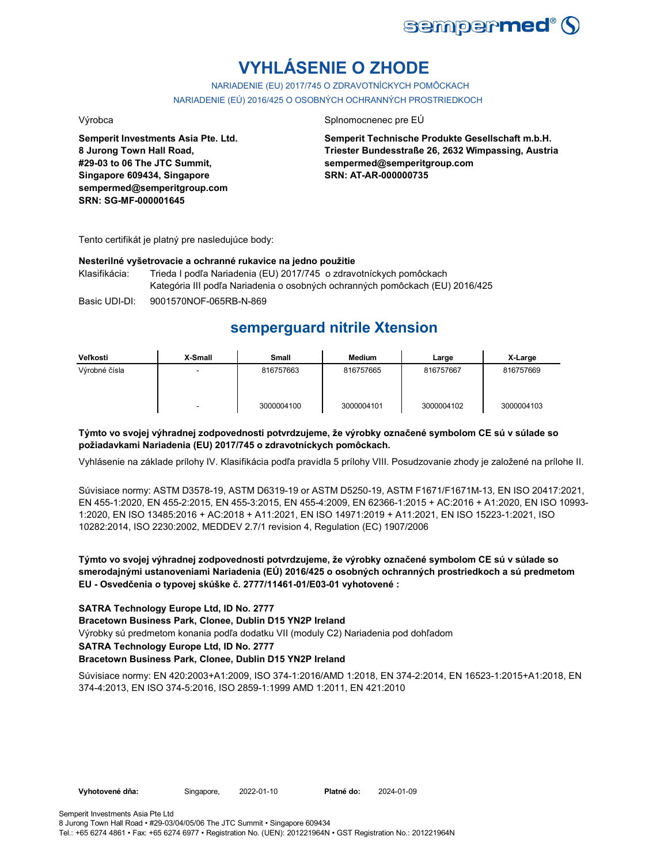

# **VYHLÁSENIE O ZHODE**

NARIADENIE (EU) 2017/745 O ZDRAVOTNÍCKYCH POMÔCKACH NARIADENIE (EÚ) 2016/425 O OSOBNÝCH OCHRANNÝCH PROSTRIEDKOCH

**Semperit Investments Asia Pte. Ltd. 8 Jurong Town Hall Road, #29-03 to 06 The JTC Summit, Singapore 609434, Singapore sempermed@semperitgroup.com SRN: SG-MF-000001645**

### Výrobca Splnomocnenec pre EÚ

**Semperit Technische Produkte Gesellschaft m.b.H. Triester Bundesstraße 26, 2632 Wimpassing, Austria sempermed@semperitgroup.com SRN: AT-AR-000000735**

Tento certifikát je platný pre nasledujúce body:

### **Nesterilné vyšetrovacie a ochranné rukavice na jedno použitie**

Klasifikácia: Trieda I podľa Nariadenia (EU) 2017/745 o zdravotníckych pomôckach Kategória III podľa Nariadenia o osobných ochranných pomôckach (EU) 2016/425

Basic UDI-DI: 9001570NOF-065RB-N-869

## **semperguard nitrile Xtension**

| Veľkosti      | X-Small                  | Small      | Medium     | Large      | X-Large    |
|---------------|--------------------------|------------|------------|------------|------------|
| Výrobné čísla | -                        | 816757663  | 816757665  | 816757667  | 816757669  |
|               | $\overline{\phantom{a}}$ | 3000004100 | 3000004101 | 3000004102 | 3000004103 |

### **Týmto vo svojej výhradnej zodpovednosti potvrdzujeme, že výrobky označené symbolom CE sú v súlade so požiadavkami Nariadenia (EU) 2017/745 o zdravotníckych pomôckach.**

Vyhlásenie na základe prílohy IV. Klasifikácia podľa pravidla 5 prílohy VIII. Posudzovanie zhody je založené na prílohe II.

Súvisiace normy: ASTM D3578-19, ASTM D6319-19 or ASTM D5250-19, ASTM F1671/F1671M-13, EN ISO 20417:2021, EN 455-1:2020, EN 455-2:2015, EN 455-3:2015, EN 455-4:2009, EN 62366-1:2015 + AC:2016 + A1:2020, EN ISO 10993- 1:2020, EN ISO 13485:2016 + AC:2018 + A11:2021, EN ISO 14971:2019 + A11:2021, EN ISO 15223-1:2021, ISO 10282:2014, ISO 2230:2002, MEDDEV 2.7/1 revision 4, Regulation (EC) 1907/2006

### **Týmto vo svojej výhradnej zodpovednosti potvrdzujeme, že výrobky označené symbolom CE sú v súlade so smerodajnými ustanoveniami Nariadenia (EÚ) 2016/425 o osobných ochranných prostriedkoch a sú predmetom EU - Osvedčenia o typovej skúške č. 2777/11461-01/E03-01 vyhotovené :**

### **SATRA Technology Europe Ltd, ID No. 2777**

**Bracetown Business Park, Clonee, Dublin D15 YN2P Ireland**

Výrobky sú predmetom konania podľa dodatku VII (moduly C2) Nariadenia pod dohľadom

### **SATRA Technology Europe Ltd, ID No. 2777**

### **Bracetown Business Park, Clonee, Dublin D15 YN2P Ireland**

Súvisiace normy: EN 420:2003+A1:2009, ISO 374-1:2016/AMD 1:2018, EN 374-2:2014, EN 16523-1:2015+A1:2018, EN 374-4:2013, EN ISO 374-5:2016, ISO 2859-1:1999 AMD 1:2011, EN 421:2010

2022-01-10 2024-01-09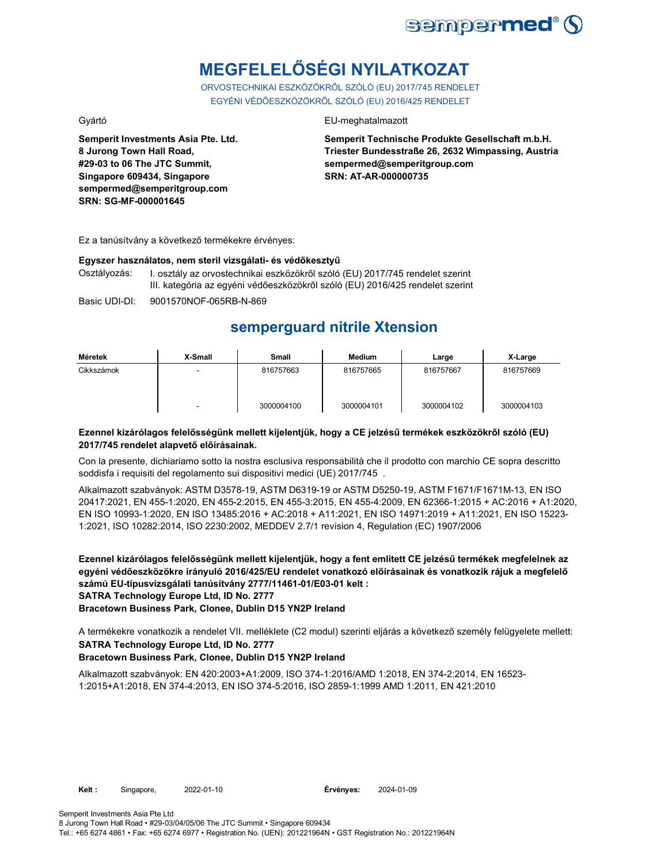

# **MEGFELELŐSÉGI NYILATKOZAT**

ORVOSTECHNIKAI ESZKÖZÖKRŐL SZÓLÓ (EU) 2017/745 RENDELET EGYÉNI VÉDŐESZKÖZÖKRŐL SZÓLÓ (EU) 2016/425 RENDELET

**Semperit Investments Asia Pte. Ltd. 8 Jurong Town Hall Road, #29-03 to 06 The JTC Summit, Singapore 609434, Singapore sempermed@semperitgroup.com SRN: SG-MF-000001645**

### Gyártó EU-meghatalmazott

**Semperit Technische Produkte Gesellschaft m.b.H. Triester Bundesstraße 26, 2632 Wimpassing, Austria sempermed@semperitgroup.com SRN: AT-AR-000000735**

Ez a tanúsítvány a következő termékekre érvényes:

### **Egyszer használatos, nem steril vizsgálati- és védőkesztyű**

Osztályozás: I. osztály az orvostechnikai eszközökről szóló (EU) 2017/745 rendelet szerint III. kategória az egyéni védőeszközökről szóló (EU) 2016/425 rendelet szerint

Basic UDI-DI: 9001570NOF-065RB-N-869

# **semperguard nitrile Xtension**

| Méretek    | X-Small | Small      | Medium     | Large      | X-Large    |
|------------|---------|------------|------------|------------|------------|
| Cikkszámok |         | 816757663  | 816757665  | 816757667  | 816757669  |
|            | -       | 3000004100 | 3000004101 | 3000004102 | 3000004103 |

### **Ezennel kizárólagos felelősségünk mellett kijelentjük, hogy a CE jelzésű termékek eszközökről szóló (EU) 2017/745 rendelet alapvető előírásainak.**

Con la presente, dichiariamo sotto la nostra esclusiva responsabilità che il prodotto con marchio CE sopra descritto soddisfa i requisiti del regolamento sui dispositivi medici (UE) 2017/745 .

Alkalmazott szabványok: ASTM D3578-19, ASTM D6319-19 or ASTM D5250-19, ASTM F1671/F1671M-13, EN ISO 20417:2021, EN 455-1:2020, EN 455-2:2015, EN 455-3:2015, EN 455-4:2009, EN 62366-1:2015 + AC:2016 + A1:2020, EN ISO 10993-1:2020, EN ISO 13485:2016 + AC:2018 + A11:2021, EN ISO 14971:2019 + A11:2021, EN ISO 15223- 1:2021, ISO 10282:2014, ISO 2230:2002, MEDDEV 2.7/1 revision 4, Regulation (EC) 1907/2006

**Ezennel kizárólagos felelősségünk mellett kijelentjük, hogy a fent említett CE jelzésű termékek megfelelnek az egyéni védőeszközökre irányuló 2016/425/EU rendelet vonatkozó előírásainak és vonatkozik rájuk a megfelelő számú EU-típusvizsgálati tanúsítvány 2777/11461-01/E03-01 kelt : SATRA Technology Europe Ltd, ID No. 2777**

**Bracetown Business Park, Clonee, Dublin D15 YN2P Ireland**

A termékekre vonatkozik a rendelet VII. melléklete (C2 modul) szerinti eljárás a következő személy felügyelete mellett: **SATRA Technology Europe Ltd, ID No. 2777**

### **Bracetown Business Park, Clonee, Dublin D15 YN2P Ireland**

Alkalmazott szabványok: EN 420:2003+A1:2009, ISO 374-1:2016/AMD 1:2018, EN 374-2:2014, EN 16523- 1:2015+A1:2018, EN 374-4:2013, EN ISO 374-5:2016, ISO 2859-1:1999 AMD 1:2011, EN 421:2010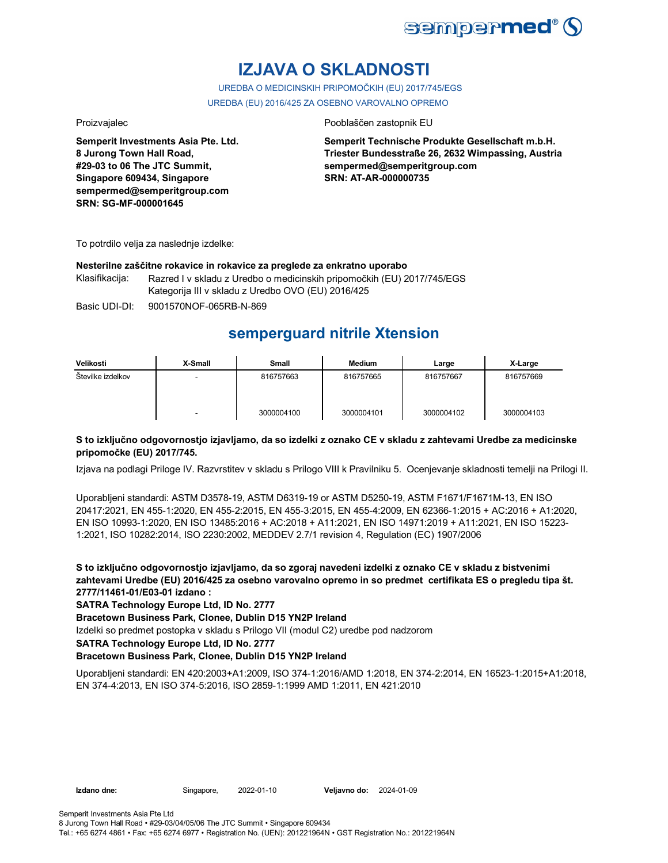

# **IZJAVA O SKLADNOSTI**

UREDBA O MEDICINSKIH PRIPOMOČKIH (EU) 2017/745/EGS UREDBA (EU) 2016/425 ZA OSEBNO VAROVALNO OPREMO

**Semperit Investments Asia Pte. Ltd. 8 Jurong Town Hall Road, #29-03 to 06 The JTC Summit, Singapore 609434, Singapore sempermed@semperitgroup.com SRN: SG-MF-000001645**

### Proizvajalec Pooblaščen zastopnik EU

**Semperit Technische Produkte Gesellschaft m.b.H. Triester Bundesstraße 26, 2632 Wimpassing, Austria sempermed@semperitgroup.com SRN: AT-AR-000000735**

To potrdilo velja za naslednje izdelke:

### **Nesterilne zaščitne rokavice in rokavice za preglede za enkratno uporabo**

Klasifikacija: Razred I v skladu z Uredbo o medicinskih pripomočkih (EU) 2017/745/EGS Kategorija III v skladu z Uredbo OVO (EU) 2016/425

Basic UDI-DI: 9001570NOF-065RB-N-869

## **semperguard nitrile Xtension**

| Velikosti         | X-Small | Small      | <b>Medium</b> | Large      | X-Large    |
|-------------------|---------|------------|---------------|------------|------------|
| Stevilke izdelkov |         | 816757663  | 816757665     | 816757667  | 816757669  |
|                   | -       | 3000004100 | 3000004101    | 3000004102 | 3000004103 |

### **S to izključno odgovornostjo izjavljamo, da so izdelki z oznako CE v skladu z zahtevami Uredbe za medicinske pripomočke (EU) 2017/745.**

Izjava na podlagi Priloge IV. Razvrstitev v skladu s Prilogo VIII k Pravilniku 5. Ocenjevanje skladnosti temelji na Prilogi II.

Uporabljeni standardi: ASTM D3578-19, ASTM D6319-19 or ASTM D5250-19, ASTM F1671/F1671M-13, EN ISO 20417:2021, EN 455-1:2020, EN 455-2:2015, EN 455-3:2015, EN 455-4:2009, EN 62366-1:2015 + AC:2016 + A1:2020, EN ISO 10993-1:2020, EN ISO 13485:2016 + AC:2018 + A11:2021, EN ISO 14971:2019 + A11:2021, EN ISO 15223- 1:2021, ISO 10282:2014, ISO 2230:2002, MEDDEV 2.7/1 revision 4, Regulation (EC) 1907/2006

**S to izključno odgovornostjo izjavljamo, da so zgoraj navedeni izdelki z oznako CE v skladu z bistvenimi zahtevami Uredbe (EU) 2016/425 za osebno varovalno opremo in so predmet certifikata ES o pregledu tipa št. 2777/11461-01/E03-01 izdano :**

**SATRA Technology Europe Ltd, ID No. 2777**

**Bracetown Business Park, Clonee, Dublin D15 YN2P Ireland**

Izdelki so predmet postopka v skladu s Prilogo VII (modul C2) uredbe pod nadzorom

**SATRA Technology Europe Ltd, ID No. 2777**

### **Bracetown Business Park, Clonee, Dublin D15 YN2P Ireland**

Uporabljeni standardi: EN 420:2003+A1:2009, ISO 374-1:2016/AMD 1:2018, EN 374-2:2014, EN 16523-1:2015+A1:2018, EN 374-4:2013, EN ISO 374-5:2016, ISO 2859-1:1999 AMD 1:2011, EN 421:2010

**Izdano dne:** Singapore, 2022-01-10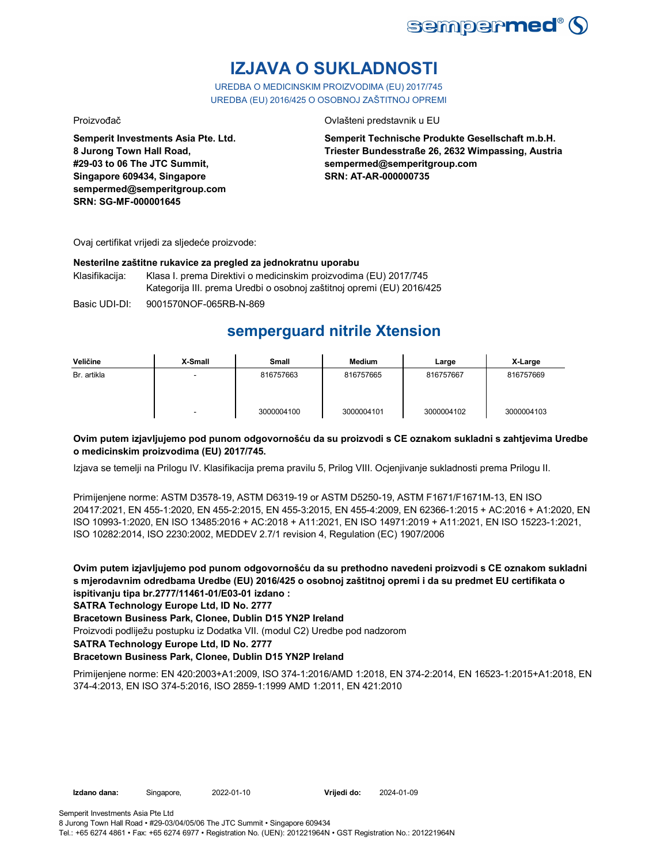

# **IZJAVA O SUKLADNOSTI**

UREDBA O MEDICINSKIM PROIZVODIMA (EU) 2017/745 UREDBA (EU) 2016/425 O OSOBNOJ ZAŠTITNOJ OPREMI

Proizvođač Ovlašteni predstavnik u EU

**Semperit Investments Asia Pte. Ltd. 8 Jurong Town Hall Road, #29-03 to 06 The JTC Summit, Singapore 609434, Singapore sempermed@semperitgroup.com SRN: SG-MF-000001645**

**Semperit Technische Produkte Gesellschaft m.b.H. Triester Bundesstraße 26, 2632 Wimpassing, Austria sempermed@semperitgroup.com SRN: AT-AR-000000735**

Ovaj certifikat vrijedi za sljedeće proizvode:

### **Nesterilne zaštitne rukavice za pregled za jednokratnu uporabu**

Klasifikacija: Klasa I. prema Direktivi o medicinskim proizvodima (EU) 2017/745 Kategorija III. prema Uredbi o osobnoj zaštitnoj opremi (EU) 2016/425

Basic UDI-DI: 9001570NOF-065RB-N-869

## **semperguard nitrile Xtension**

| Veličine    | X-Small | Small      | <b>Medium</b> | Large      | X-Large    |
|-------------|---------|------------|---------------|------------|------------|
| Br. artikla |         | 816757663  | 816757665     | 816757667  | 816757669  |
|             | -       | 3000004100 | 3000004101    | 3000004102 | 3000004103 |

### **Ovim putem izjavljujemo pod punom odgovornošću da su proizvodi s CE oznakom sukladni s zahtjevima Uredbe o medicinskim proizvodima (EU) 2017/745.**

Izjava se temelji na Prilogu IV. Klasifikacija prema pravilu 5, Prilog VIII. Ocjenjivanje sukladnosti prema Prilogu II.

Primijenjene norme: ASTM D3578-19, ASTM D6319-19 or ASTM D5250-19, ASTM F1671/F1671M-13, EN ISO 20417:2021, EN 455-1:2020, EN 455-2:2015, EN 455-3:2015, EN 455-4:2009, EN 62366-1:2015 + AC:2016 + A1:2020, EN ISO 10993-1:2020, EN ISO 13485:2016 + AC:2018 + A11:2021, EN ISO 14971:2019 + A11:2021, EN ISO 15223-1:2021, ISO 10282:2014, ISO 2230:2002, MEDDEV 2.7/1 revision 4, Regulation (EC) 1907/2006

**Ovim putem izjavljujemo pod punom odgovornošću da su prethodno navedeni proizvodi s CE oznakom sukladni s mjerodavnim odredbama Uredbe (EU) 2016/425 o osobnoj zaštitnoj opremi i da su predmet EU certifikata o ispitivanju tipa br.2777/11461-01/E03-01 izdano :**

**SATRA Technology Europe Ltd, ID No. 2777**

**Bracetown Business Park, Clonee, Dublin D15 YN2P Ireland**

Proizvodi podliježu postupku iz Dodatka VII. (modul C2) Uredbe pod nadzorom

**SATRA Technology Europe Ltd, ID No. 2777**

### **Bracetown Business Park, Clonee, Dublin D15 YN2P Ireland**

Primijenjene norme: EN 420:2003+A1:2009, ISO 374-1:2016/AMD 1:2018, EN 374-2:2014, EN 16523-1:2015+A1:2018, EN 374-4:2013, EN ISO 374-5:2016, ISO 2859-1:1999 AMD 1:2011, EN 421:2010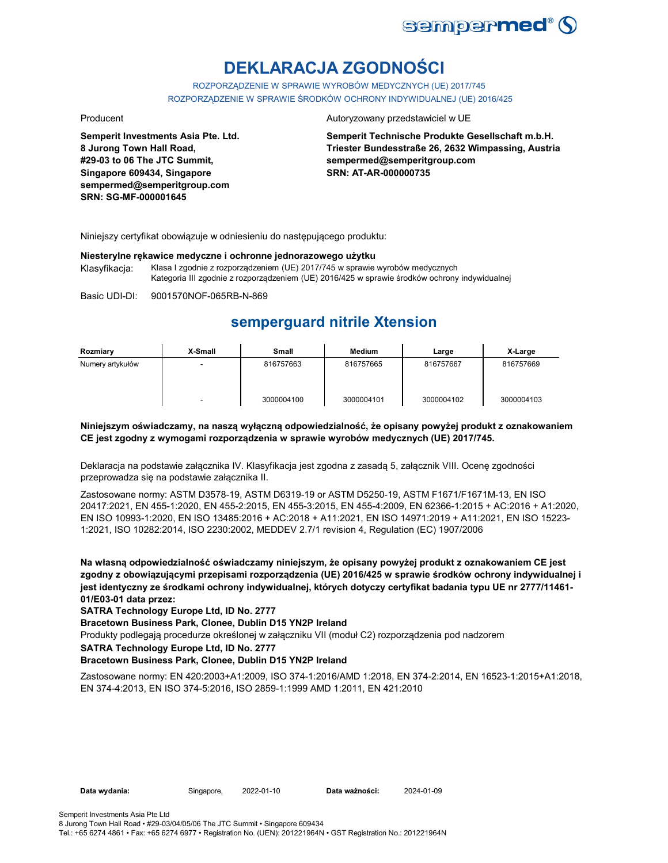

# **DEKLARACJA ZGODNOŚCI**

ROZPORZĄDZENIE W SPRAWIE WYROBÓW MEDYCZNYCH (UE) 2017/745 ROZPORZĄDZENIE W SPRAWIE ŚRODKÓW OCHRONY INDYWIDUALNEJ (UE) 2016/425

**Semperit Investments Asia Pte. Ltd. 8 Jurong Town Hall Road, #29-03 to 06 The JTC Summit, Singapore 609434, Singapore sempermed@semperitgroup.com SRN: SG-MF-000001645**

### Producent **Autoryzowany przedstawiciel w UE**

**Semperit Technische Produkte Gesellschaft m.b.H. Triester Bundesstraße 26, 2632 Wimpassing, Austria sempermed@semperitgroup.com SRN: AT-AR-000000735**

Niniejszy certyfikat obowiązuje w odniesieniu do następującego produktu:

### **Niesterylne rękawice medyczne i ochronne jednorazowego użytku**

Klasyfikacja: Klasa I zgodnie z rozporządzeniem (UE) 2017/745 w sprawie wyrobów medycznych Kategoria III zgodnie z rozporządzeniem (UE) 2016/425 w sprawie środków ochrony indywidualnej

Basic UDI-DI: 9001570NOF-065RB-N-869

## **semperguard nitrile Xtension**

| Rozmiary         | X-Small | Small      | Medium     | Large      | X-Large    |
|------------------|---------|------------|------------|------------|------------|
| Numery artykułów |         | 816757663  | 816757665  | 816757667  | 816757669  |
|                  |         | 3000004100 | 3000004101 | 3000004102 | 3000004103 |

### **Niniejszym oświadczamy, na naszą wyłączną odpowiedzialność, że opisany powyżej produkt z oznakowaniem CE jest zgodny z wymogami rozporządzenia w sprawie wyrobów medycznych (UE) 2017/745.**

Deklaracja na podstawie załącznika IV. Klasyfikacja jest zgodna z zasadą 5, załącznik VIII. Ocenę zgodności przeprowadza się na podstawie załącznika II.

Zastosowane normy: ASTM D3578-19, ASTM D6319-19 or ASTM D5250-19, ASTM F1671/F1671M-13, EN ISO 20417:2021, EN 455-1:2020, EN 455-2:2015, EN 455-3:2015, EN 455-4:2009, EN 62366-1:2015 + AC:2016 + A1:2020, EN ISO 10993-1:2020, EN ISO 13485:2016 + AC:2018 + A11:2021, EN ISO 14971:2019 + A11:2021, EN ISO 15223- 1:2021, ISO 10282:2014, ISO 2230:2002, MEDDEV 2.7/1 revision 4, Regulation (EC) 1907/2006

**Na własną odpowiedzialność oświadczamy niniejszym, że opisany powyżej produkt z oznakowaniem CE jest zgodny z obowiązującymi przepisami rozporządzenia (UE) 2016/425 w sprawie środków ochrony indywidualnej i jest identyczny ze środkami ochrony indywidualnej, których dotyczy certyfikat badania typu UE nr 2777/11461- 01/E03-01 data przez:**

**SATRA Technology Europe Ltd, ID No. 2777**

**Bracetown Business Park, Clonee, Dublin D15 YN2P Ireland**

Produkty podlegają procedurze określonej w załączniku VII (moduł C2) rozporządzenia pod nadzorem

**SATRA Technology Europe Ltd, ID No. 2777**

### **Bracetown Business Park, Clonee, Dublin D15 YN2P Ireland**

Zastosowane normy: EN 420:2003+A1:2009, ISO 374-1:2016/AMD 1:2018, EN 374-2:2014, EN 16523-1:2015+A1:2018, EN 374-4:2013, EN ISO 374-5:2016, ISO 2859-1:1999 AMD 1:2011, EN 421:2010

Data wydania: Singapore, 2022-01-10

Data ważności: 2024-01-09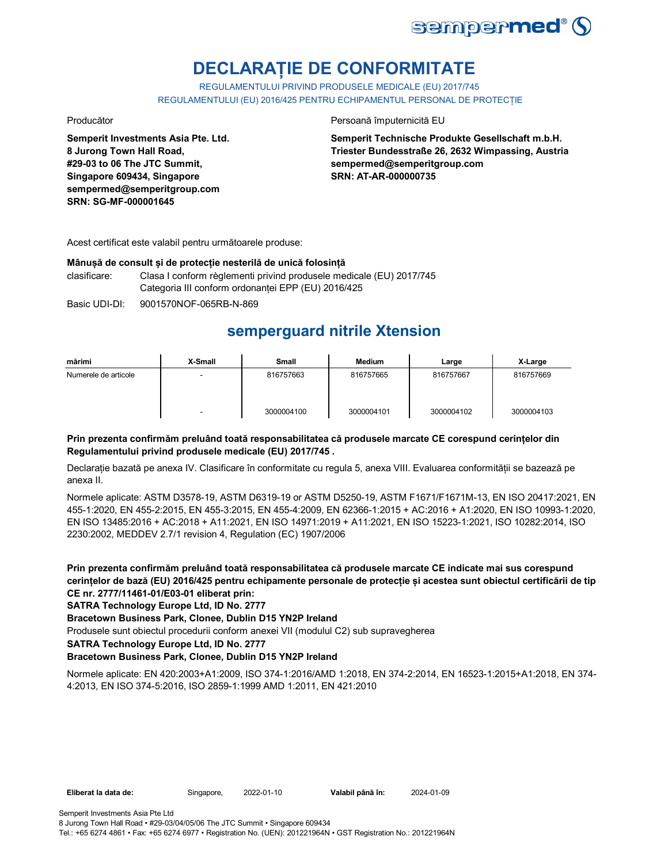

# **DECLARAȚIE DE CONFORMITATE**

REGULAMENTULUI PRIVIND PRODUSELE MEDICALE (EU) 2017/745 REGULAMENTULUI (EU) 2016/425 PENTRU ECHIPAMENTUL PERSONAL DE PROTECȚIE

**Semperit Investments Asia Pte. Ltd. 8 Jurong Town Hall Road, #29-03 to 06 The JTC Summit, Singapore 609434, Singapore sempermed@semperitgroup.com SRN: SG-MF-000001645**

Producător **Producător** Persoană împuternicită EU

**Semperit Technische Produkte Gesellschaft m.b.H. Triester Bundesstraße 26, 2632 Wimpassing, Austria sempermed@semperitgroup.com SRN: AT-AR-000000735**

Acest certificat este valabil pentru următoarele produse:

### **Mânușă de consult și de protecție nesterilă de unică folosință**

clasificare: Clasa I conform règlementi privind produsele medicale (EU) 2017/745 Categoria III conform ordonanței EPP (EU) 2016/425

Basic UDI-DI: 9001570NOF-065RB-N-869

## **semperguard nitrile Xtension**

| mărimi               | X-Small                  | <b>Small</b> | <b>Medium</b> | Large      | X-Large    |
|----------------------|--------------------------|--------------|---------------|------------|------------|
| Numerele de articole | $\overline{\phantom{a}}$ | 816757663    | 816757665     | 816757667  | 816757669  |
|                      | ٠                        | 3000004100   | 3000004101    | 3000004102 | 3000004103 |

### **Prin prezenta confirmăm preluând toată responsabilitatea că produsele marcate CE corespund cerințelor din Regulamentului privind produsele medicale (EU) 2017/745 .**

Declarație bazată pe anexa IV. Clasificare în conformitate cu regula 5, anexa VIII. Evaluarea conformității se bazează pe anexa II.

Normele aplicate: ASTM D3578-19, ASTM D6319-19 or ASTM D5250-19, ASTM F1671/F1671M-13, EN ISO 20417:2021, EN 455-1:2020, EN 455-2:2015, EN 455-3:2015, EN 455-4:2009, EN 62366-1:2015 + AC:2016 + A1:2020, EN ISO 10993-1:2020, EN ISO 13485:2016 + AC:2018 + A11:2021, EN ISO 14971:2019 + A11:2021, EN ISO 15223-1:2021, ISO 10282:2014, ISO 2230:2002, MEDDEV 2.7/1 revision 4, Regulation (EC) 1907/2006

**Prin prezenta confirmăm preluând toată responsabilitatea că produsele marcate CE indicate mai sus corespund cerințelor de bază (EU) 2016/425 pentru echipamente personale de protecție și acestea sunt obiectul certificării de tip CE nr. 2777/11461-01/E03-01 eliberat prin:**

**SATRA Technology Europe Ltd, ID No. 2777**

**Bracetown Business Park, Clonee, Dublin D15 YN2P Ireland**

Produsele sunt obiectul procedurii conform anexei VII (modulul C2) sub supravegherea

**SATRA Technology Europe Ltd, ID No. 2777**

### **Bracetown Business Park, Clonee, Dublin D15 YN2P Ireland**

Normele aplicate: EN 420:2003+A1:2009, ISO 374-1:2016/AMD 1:2018, EN 374-2:2014, EN 16523-1:2015+A1:2018, EN 374- 4:2013, EN ISO 374-5:2016, ISO 2859-1:1999 AMD 1:2011, EN 421:2010

| Eliberat la data de: | Singapore, | 2022-01-10 | Valabil până în: | 2024-01-09 |
|----------------------|------------|------------|------------------|------------|
|----------------------|------------|------------|------------------|------------|

Tel.: +65 6274 4861 • Fax: +65 6274 6977 • Registration No. (UEN): 201221964N • GST Registration No.: 201221964N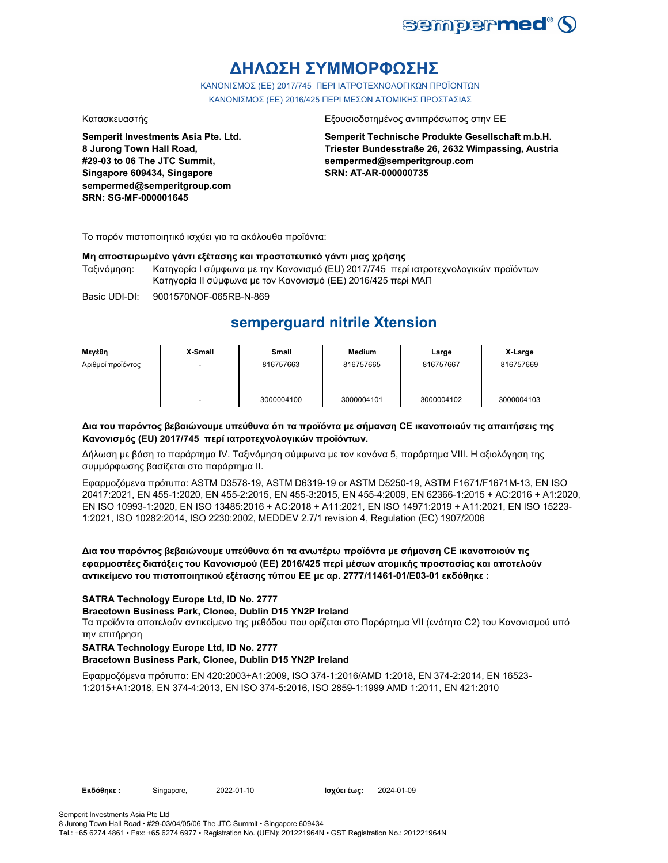

# **ΔΗΛΩΣΗ ΣΥΜΜΟΡΦΩΣΗΣ**

ΚΑΝΟΝΙΣΜΟΣ (EE) 2017/745 ΠΕΡΙ ΙΑΤΡΟΤΕΧΝΟΛΟΓΙΚΩΝ ΠΡΟΪΟΝΤΩΝ ΚΑΝΟΝΙΣΜΟΣ (ΕΕ) 2016/425 ΠΕΡΙ ΜΕΣΩΝ ΑΤΟΜΙΚΗΣ ΠΡΟΣΤΑΣΙΑΣ

**Semperit Investments Asia Pte. Ltd. 8 Jurong Town Hall Road, #29-03 to 06 The JTC Summit, Singapore 609434, Singapore sempermed@semperitgroup.com SRN: SG-MF-000001645**

### Κατασκευαστής Εξουσιοδοτημένος αντιπρόσωπος στην ΕΕ

**Semperit Technische Produkte Gesellschaft m.b.H. Triester Bundesstraße 26, 2632 Wimpassing, Austria sempermed@semperitgroup.com SRN: AT-AR-000000735**

Το παρόν πιστοποιητικό ισχύει για τα ακόλουθα προϊόντα:

### **Μη αποστειρωμένο γάντι εξέτασης και προστατευτικό γάντι μιας χρήσης**

Ταξινόμηση: Κατηγορία I σύμφωνα με την Κανονισμό (EU) 2017/745 περί ιατροτεχνολογικών προϊόντων Κατηγορία II σύμφωνα με τον Κανονισμό (ΕΕ) 2016/425 περί ΜΑΠ

Basic UDI-DI: 9001570NOF-065RB-N-869

## **semperguard nitrile Xtension**

| Μενέθη            | X-Small | <b>Small</b> | <b>Medium</b> | Large      | X-Large    |
|-------------------|---------|--------------|---------------|------------|------------|
| Αριθμοί προϊόντος | -       | 816757663    | 816757665     | 816757667  | 816757669  |
|                   | -       | 3000004100   | 3000004101    | 3000004102 | 3000004103 |

### **Δια του παρόντος βεβαιώνουμε υπεύθυνα ότι τα προϊόντα με σήμανση CE ικανοποιούν τις απαιτήσεις της Κανονισμός (EU) 2017/745 περί ιατροτεχνολογικών προϊόντων.**

Δήλωση με βάση το παράρτημα IV. Ταξινόμηση σύμφωνα με τον κανόνα 5, παράρτημα VIII. Η αξιολόγηση της συμμόρφωσης βασίζεται στο παράρτημα II.

Εφαρμοζόμενα πρότυπα: ASTM D3578-19, ASTM D6319-19 or ASTM D5250-19, ASTM F1671/F1671M-13, EN ISO 20417:2021, EN 455-1:2020, EN 455-2:2015, EN 455-3:2015, EN 455-4:2009, EN 62366-1:2015 + AC:2016 + A1:2020, EN ISO 10993-1:2020, EN ISO 13485:2016 + AC:2018 + A11:2021, EN ISO 14971:2019 + A11:2021, EN ISO 15223- 1:2021, ISO 10282:2014, ISO 2230:2002, MEDDEV 2.7/1 revision 4, Regulation (EC) 1907/2006

**Δια του παρόντος βεβαιώνουμε υπεύθυνα ότι τα ανωτέρω προϊόντα με σήμανση CE ικανοποιούν τις εφαρμοστέες διατάξεις του Κανονισμού (ΕΕ) 2016/425 περί μέσων ατομικής προστασίας και αποτελούν αντικείμενο του πιστοποιητικού εξέτασης τύπου ΕΕ με αρ. 2777/11461-01/E03-01 εκδόθηκε :**

### **SATRA Technology Europe Ltd, ID No. 2777**

### **Bracetown Business Park, Clonee, Dublin D15 YN2P Ireland**

Τα προϊόντα αποτελούν αντικείμενο της μεθόδου που ορίζεται στο Παράρτημα VII (ενότητα C2) του Κανονισμού υπό την επιτήρηση

### **SATRA Technology Europe Ltd, ID No. 2777**

### **Bracetown Business Park, Clonee, Dublin D15 YN2P Ireland**

Εφαρμοζόμενα πρότυπα: EN 420:2003+A1:2009, ISO 374-1:2016/AMD 1:2018, EN 374-2:2014, EN 16523- 1:2015+A1:2018, EN 374-4:2013, EN ISO 374-5:2016, ISO 2859-1:1999 AMD 1:2011, EN 421:2010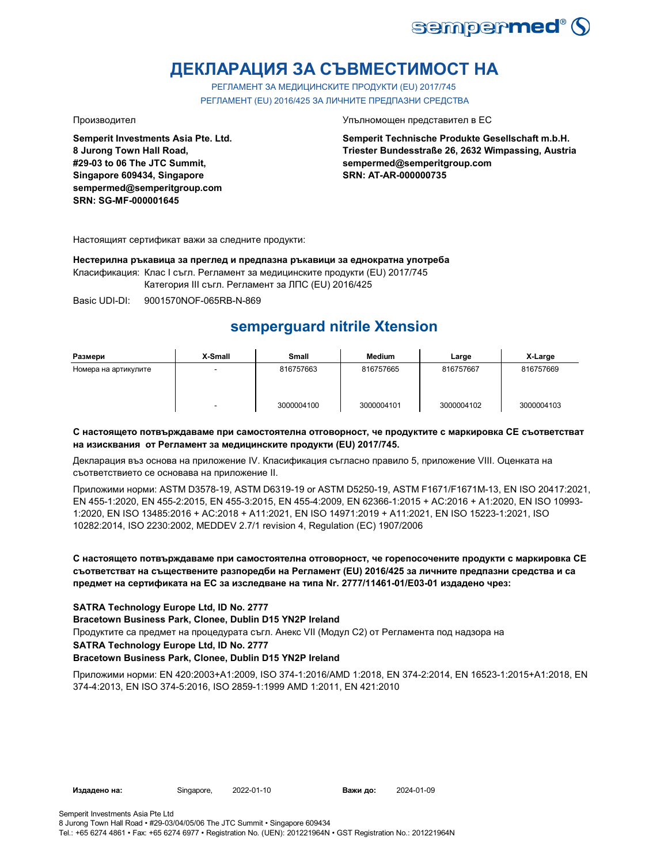

# **ДЕКЛАРАЦИЯ ЗА СЪВМЕСТИМОСТ НА**

РЕГЛАМЕНТ ЗА МЕДИЦИНСКИТЕ ПРОДУКТИ (EU) 2017/745 РЕГЛАМЕНТ (EU) 2016/425 ЗА ЛИЧНИТЕ ПРЕДПАЗНИ СРЕДСТВА

**Semperit Investments Asia Pte. Ltd. 8 Jurong Town Hall Road, #29-03 to 06 The JTC Summit, Singapore 609434, Singapore sempermed@semperitgroup.com SRN: SG-MF-000001645**

Производител Упълномощен представител в ЕС

**Semperit Technische Produkte Gesellschaft m.b.H. Triester Bundesstraße 26, 2632 Wimpassing, Austria sempermed@semperitgroup.com SRN: AT-AR-000000735**

Настоящият сертификат важи за следните продукти:

**Нестерилна ръкавица за преглед и предпазна ръкавици за еднократна употреба**

Класификация: Клас I съгл. Регламент за медицинските продукти (EU) 2017/745

Категория III съгл. Регламент за ЛПС (EU) 2016/425

Basic UDI-DI: 9001570NOF-065RB-N-869

## **semperguard nitrile Xtension**

| Размери              | X-Small | Small      | <b>Medium</b> | Large      | X-Large    |
|----------------------|---------|------------|---------------|------------|------------|
| Номера на артикулите | $\sim$  | 816757663  | 816757665     | 816757667  | 816757669  |
|                      | -       | 3000004100 | 3000004101    | 3000004102 | 3000004103 |

### **С настоящето потвърждаваме при самостоятелна отговорност, че продуктите с маркировка СЕ съответстват на изисквания от Регламент за медицинските продукти (EU) 2017/745.**

Декларация въз основа на приложение IV. Класификация съгласно правило 5, приложение VIII. Оценката на съответствието се основава на приложение II.

Приложими норми: ASTM D3578-19, ASTM D6319-19 or ASTM D5250-19, ASTM F1671/F1671M-13, EN ISO 20417:2021, EN 455-1:2020, EN 455-2:2015, EN 455-3:2015, EN 455-4:2009, EN 62366-1:2015 + AC:2016 + A1:2020, EN ISO 10993- 1:2020, EN ISO 13485:2016 + AC:2018 + A11:2021, EN ISO 14971:2019 + A11:2021, EN ISO 15223-1:2021, ISO 10282:2014, ISO 2230:2002, MEDDEV 2.7/1 revision 4, Regulation (EC) 1907/2006

**С настоящето потвърждаваме при самостоятелна отговорност, че горепосочените продукти с маркировка СЕ съответстват на съществените разпоредби на Регламент (EU) 2016/425 за личните предпазни средства и са предмет на сертификата на ЕС за изследване на типа Nr. 2777/11461-01/E03-01 издадено чрез:**

### **SATRA Technology Europe Ltd, ID No. 2777**

**Bracetown Business Park, Clonee, Dublin D15 YN2P Ireland**

Продуктите са предмет на процедурата съгл. Анекс VII (Модул С2) от Регламента под надзора на

**SATRA Technology Europe Ltd, ID No. 2777**

### **Bracetown Business Park, Clonee, Dublin D15 YN2P Ireland**

Приложими норми: EN 420:2003+A1:2009, ISO 374-1:2016/AMD 1:2018, EN 374-2:2014, EN 16523-1:2015+A1:2018, EN 374-4:2013, EN ISO 374-5:2016, ISO 2859-1:1999 AMD 1:2011, EN 421:2010

**Издадено на:** Singapore, **Важи до:**

2024-01-09